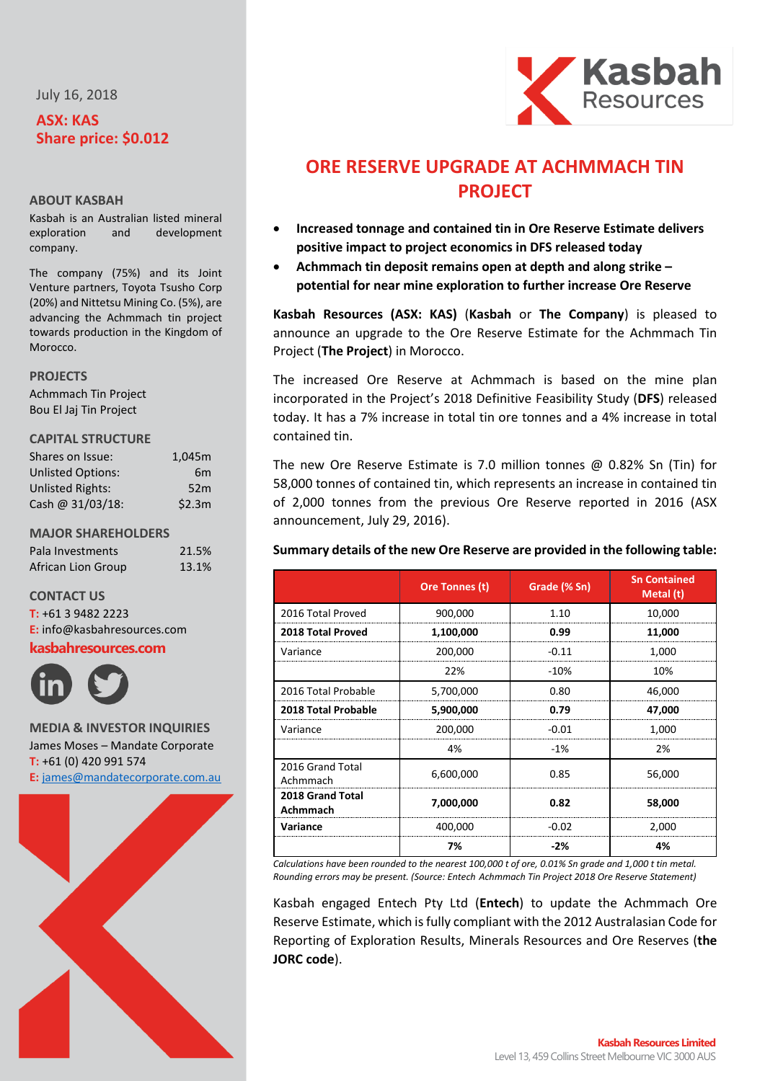July 16, 2018

# **ASX: KAS Share price: \$0.012**

## **ABOUT KASBAH**

Kasbah is an Australian listed mineral exploration and development company.

The company (75%) and its Joint Venture partners, Toyota Tsusho Corp (20%) and Nittetsu Mining Co. (5%), are advancing the Achmmach tin project towards production in the Kingdom of **Morocco** 

#### **PROJECTS**

Achmmach Tin Project Bou El Jaj Tin Project

### **CAPITAL STRUCTURE**

| Shares on Issue:         | 1,045m         |
|--------------------------|----------------|
| <b>Unlisted Options:</b> | 6 <sub>m</sub> |
| <b>Unlisted Rights:</b>  | 52m            |
| Cash @ 31/03/18:         | \$2.3m         |

### **MAJOR SHAREHOLDERS**

| Pala Investments   | 21.5% |
|--------------------|-------|
| African Lion Group | 13.1% |

# **CONTACT US**

**T:** +61 3 9482 2223 **E:** [info@kasbahresources.com](mailto:info@kasbahresources.com)

## **kasbahresources.com**



**MEDIA & INVESTOR INQUIRIES** James Moses – Mandate Corporate **T:** +61 (0) 420 991 574 **E:** [james@mandatecorporate.com.au](mailto:james@mandatecorporate.com.au)





# **ORE RESERVE UPGRADE AT ACHMMACH TIN PROJECT**

- **Increased tonnage and contained tin in Ore Reserve Estimate delivers positive impact to project economics in DFS released today**
- **Achmmach tin deposit remains open at depth and along strike – potential for near mine exploration to further increase Ore Reserve**

**Kasbah Resources (ASX: KAS)** (**Kasbah** or **The Company**) is pleased to announce an upgrade to the Ore Reserve Estimate for the Achmmach Tin Project (**The Project**) in Morocco.

The increased Ore Reserve at Achmmach is based on the mine plan incorporated in the Project's 2018 Definitive Feasibility Study (**DFS**) released today. It has a 7% increase in total tin ore tonnes and a 4% increase in total contained tin.

The new Ore Reserve Estimate is 7.0 million tonnes @ 0.82% Sn (Tin) for 58,000 tonnes of contained tin, which represents an increase in contained tin of 2,000 tonnes from the previous Ore Reserve reported in 2016 (ASX announcement, July 29, 2016).

# **Summary details of the new Ore Reserve are provided in the following table:**

|                                     | Ore Tonnes (t) | Grade (% Sn) | <b>Sn Contained</b><br>Metal (t) |
|-------------------------------------|----------------|--------------|----------------------------------|
| 2016 Total Proved                   | 900,000        | 1.10         | 10,000                           |
| 2018 Total Proved                   | 1,100,000      | 0.99         | 11,000                           |
| Variance                            | 200,000        | $-0.11$      | 1,000                            |
|                                     | 22%            | $-10%$       | 10%                              |
| 2016 Total Probable                 | 5,700,000      | 0.80         | 46,000                           |
| 2018 Total Probable                 | 5,900,000      | 0.79         | 47,000                           |
| Variance                            | 200,000        | $-0.01$      | 1,000                            |
|                                     | 4%             | $-1%$        | 2%                               |
| 2016 Grand Total<br>Achmmach        | 6,600,000      | 0.85         | 56,000                           |
| 2018 Grand Total<br><b>Achmmach</b> | 7,000,000      | 0.82         | 58,000                           |
| Variance                            | 400,000        | $-0.02$      | 2,000                            |
|                                     | 7%             | $-2%$        | 4%                               |

*Calculations have been rounded to the nearest 100,000 t of ore, 0.01% Sn grade and 1,000 t tin metal. Rounding errors may be present. (Source: Entech Achmmach Tin Project 2018 Ore Reserve Statement)*

Kasbah engaged Entech Pty Ltd (**Entech**) to update the Achmmach Ore Reserve Estimate, which is fully compliant with the 2012 Australasian Code for Reporting of Exploration Results, Minerals Resources and Ore Reserves (**the JORC code**).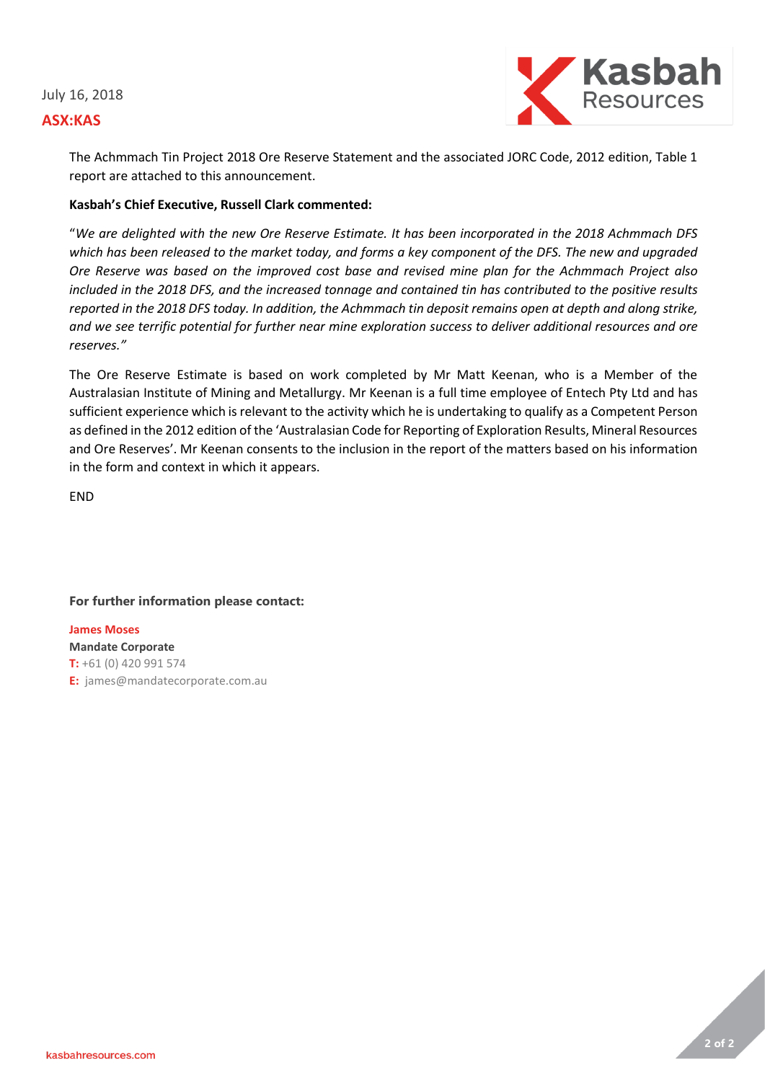## July 16, 2018

# **ASX:KAS**



The Achmmach Tin Project 2018 Ore Reserve Statement and the associated JORC Code, 2012 edition, Table 1 report are attached to this announcement.

# **Kasbah's Chief Executive, Russell Clark commented:**

"*We are delighted with the new Ore Reserve Estimate. It has been incorporated in the 2018 Achmmach DFS which has been released to the market today, and forms a key component of the DFS. The new and upgraded Ore Reserve was based on the improved cost base and revised mine plan for the Achmmach Project also included in the 2018 DFS, and the increased tonnage and contained tin has contributed to the positive results reported in the 2018 DFS today. In addition, the Achmmach tin deposit remains open at depth and along strike, and we see terrific potential for further near mine exploration success to deliver additional resources and ore reserves."*

The Ore Reserve Estimate is based on work completed by Mr Matt Keenan, who is a Member of the Australasian Institute of Mining and Metallurgy. Mr Keenan is a full time employee of Entech Pty Ltd and has sufficient experience which is relevant to the activity which he is undertaking to qualify as a Competent Person as defined in the 2012 edition of the 'Australasian Code for Reporting of Exploration Results, Mineral Resources and Ore Reserves'. Mr Keenan consents to the inclusion in the report of the matters based on his information in the form and context in which it appears.

END

# **For further information please contact:**

# **James Moses**

**Mandate Corporate T:** +61 (0) 420 991 574 **E:** james@mandatecorporate.com.au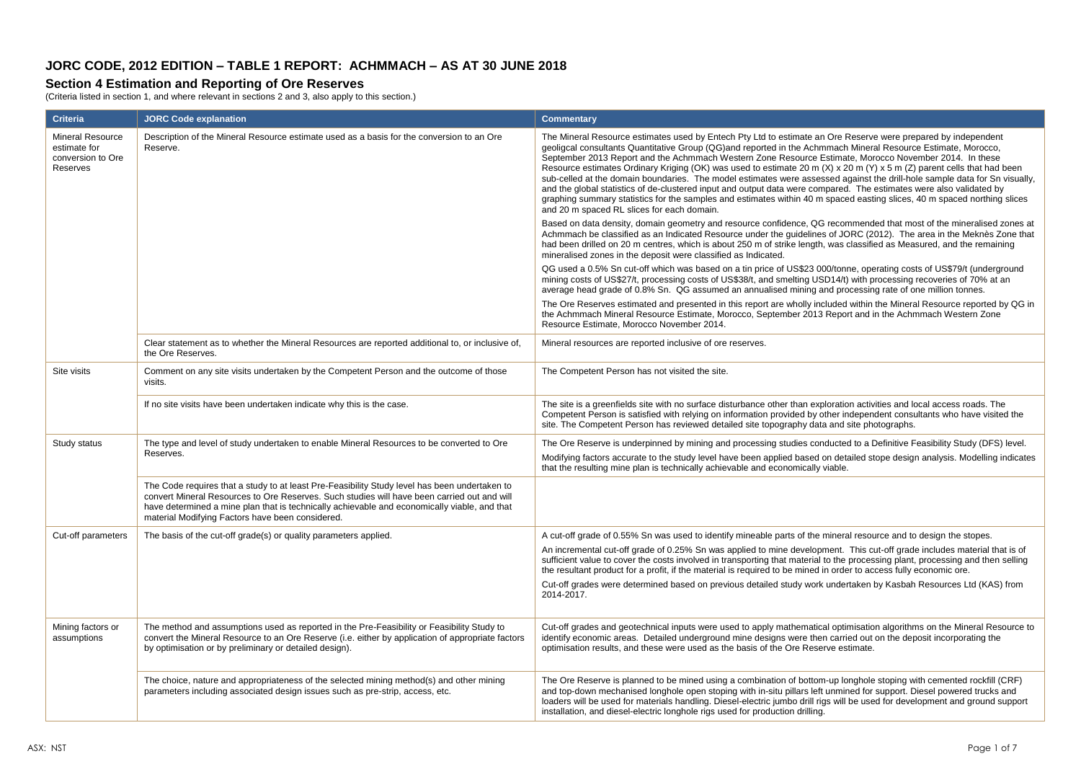# **JORC CODE, 2012 EDITION – TABLE 1 REPORT: ACHMMACH – AS AT 30 JUNE 2018**

### **Section 4 Estimation and Reporting of Ore Reserves**

(Criteria listed in section 1, and where relevant in sections 2 and 3, also apply to this section.)

| <b>Criteria</b>                                                          | <b>JORC Code explanation</b>                                                                                                                                                                                                                                                                                                                     | <b>Commentary</b>                                                                                                                                                                                                                                                                                                                                                                                                                                                                                                                                                                                                                                                                                                                                                                                                                                                                                 |
|--------------------------------------------------------------------------|--------------------------------------------------------------------------------------------------------------------------------------------------------------------------------------------------------------------------------------------------------------------------------------------------------------------------------------------------|---------------------------------------------------------------------------------------------------------------------------------------------------------------------------------------------------------------------------------------------------------------------------------------------------------------------------------------------------------------------------------------------------------------------------------------------------------------------------------------------------------------------------------------------------------------------------------------------------------------------------------------------------------------------------------------------------------------------------------------------------------------------------------------------------------------------------------------------------------------------------------------------------|
| <b>Mineral Resource</b><br>estimate for<br>conversion to Ore<br>Reserves | Description of the Mineral Resource estimate used as a basis for the conversion to an Ore<br>Reserve.                                                                                                                                                                                                                                            | The Mineral Resource estimates used by Entech Pty Ltd to estimate an Ore Reserve were prepared by independent<br>geoligcal consultants Quantitative Group (QG)and reported in the Achmmach Mineral Resource Estimate, Morocco,<br>September 2013 Report and the Achmmach Western Zone Resource Estimate, Morocco November 2014. In these<br>Resource estimates Ordinary Kriging (OK) was used to estimate 20 m (X) x 20 m (Y) x 5 m (Z) parent cells that had been<br>sub-celled at the domain boundaries. The model estimates were assessed against the drill-hole sample data for Sn visually,<br>and the global statistics of de-clustered input and output data were compared. The estimates were also validated by<br>graphing summary statistics for the samples and estimates within 40 m spaced easting slices, 40 m spaced northing slices<br>and 20 m spaced RL slices for each domain. |
|                                                                          |                                                                                                                                                                                                                                                                                                                                                  | Based on data density, domain geometry and resource confidence, QG recommended that most of the mineralised zones at<br>Achmmach be classified as an Indicated Resource under the quidelines of JORC (2012). The area in the Meknès Zone that<br>had been drilled on 20 m centres, which is about 250 m of strike length, was classified as Measured, and the remaining<br>mineralised zones in the deposit were classified as Indicated.                                                                                                                                                                                                                                                                                                                                                                                                                                                         |
|                                                                          |                                                                                                                                                                                                                                                                                                                                                  | QG used a 0.5% Sn cut-off which was based on a tin price of US\$23 000/tonne, operating costs of US\$79/t (underground<br>mining costs of US\$27/t, processing costs of US\$38/t, and smelting USD14/t) with processing recoveries of 70% at an<br>average head grade of 0.8% Sn. QG assumed an annualised mining and processing rate of one million tonnes.                                                                                                                                                                                                                                                                                                                                                                                                                                                                                                                                      |
|                                                                          |                                                                                                                                                                                                                                                                                                                                                  | The Ore Reserves estimated and presented in this report are wholly included within the Mineral Resource reported by QG in<br>the Achmmach Mineral Resource Estimate, Morocco, September 2013 Report and in the Achmmach Western Zone<br>Resource Estimate. Morocco November 2014.                                                                                                                                                                                                                                                                                                                                                                                                                                                                                                                                                                                                                 |
|                                                                          | Clear statement as to whether the Mineral Resources are reported additional to, or inclusive of,<br>the Ore Reserves.                                                                                                                                                                                                                            | Mineral resources are reported inclusive of ore reserves.                                                                                                                                                                                                                                                                                                                                                                                                                                                                                                                                                                                                                                                                                                                                                                                                                                         |
| Site visits                                                              | Comment on any site visits undertaken by the Competent Person and the outcome of those<br>visits.                                                                                                                                                                                                                                                | The Competent Person has not visited the site.                                                                                                                                                                                                                                                                                                                                                                                                                                                                                                                                                                                                                                                                                                                                                                                                                                                    |
|                                                                          | If no site visits have been undertaken indicate why this is the case.                                                                                                                                                                                                                                                                            | The site is a greenfields site with no surface disturbance other than exploration activities and local access roads. The<br>Competent Person is satisfied with relying on information provided by other independent consultants who have visited the<br>site. The Competent Person has reviewed detailed site topography data and site photographs.                                                                                                                                                                                                                                                                                                                                                                                                                                                                                                                                               |
| Study status                                                             | The type and level of study undertaken to enable Mineral Resources to be converted to Ore<br>Reserves.                                                                                                                                                                                                                                           | The Ore Reserve is underpinned by mining and processing studies conducted to a Definitive Feasibility Study (DFS) level.<br>Modifying factors accurate to the study level have been applied based on detailed stope design analysis. Modelling indicates<br>that the resulting mine plan is technically achievable and economically viable.                                                                                                                                                                                                                                                                                                                                                                                                                                                                                                                                                       |
|                                                                          | The Code requires that a study to at least Pre-Feasibility Study level has been undertaken to<br>convert Mineral Resources to Ore Reserves. Such studies will have been carried out and will<br>have determined a mine plan that is technically achievable and economically viable, and that<br>material Modifying Factors have been considered. |                                                                                                                                                                                                                                                                                                                                                                                                                                                                                                                                                                                                                                                                                                                                                                                                                                                                                                   |
| Cut-off parameters                                                       | The basis of the cut-off grade(s) or quality parameters applied.                                                                                                                                                                                                                                                                                 | A cut-off grade of 0.55% Sn was used to identify mineable parts of the mineral resource and to design the stopes.<br>An incremental cut-off grade of 0.25% Sn was applied to mine development. This cut-off grade includes material that is of<br>sufficient value to cover the costs involved in transporting that material to the processing plant, processing and then selling<br>the resultant product for a profit, if the material is required to be mined in order to access fully economic ore.<br>Cut-off grades were determined based on previous detailed study work undertaken by Kasbah Resources Ltd (KAS) from<br>2014-2017.                                                                                                                                                                                                                                                       |
| Mining factors or<br>assumptions                                         | The method and assumptions used as reported in the Pre-Feasibility or Feasibility Study to<br>convert the Mineral Resource to an Ore Reserve (i.e. either by application of appropriate factors<br>by optimisation or by preliminary or detailed design).                                                                                        | Cut-off grades and geotechnical inputs were used to apply mathematical optimisation algorithms on the Mineral Resource to<br>identify economic areas. Detailed underground mine designs were then carried out on the deposit incorporating the<br>optimisation results, and these were used as the basis of the Ore Reserve estimate.                                                                                                                                                                                                                                                                                                                                                                                                                                                                                                                                                             |
|                                                                          | The choice, nature and appropriateness of the selected mining method(s) and other mining<br>parameters including associated design issues such as pre-strip, access, etc.                                                                                                                                                                        | The Ore Reserve is planned to be mined using a combination of bottom-up longhole stoping with cemented rockfill (CRF)<br>and top-down mechanised longhole open stoping with in-situ pillars left unmined for support. Diesel powered trucks and<br>loaders will be used for materials handling. Diesel-electric jumbo drill rigs will be used for development and ground support<br>installation, and diesel-electric longhole rigs used for production drilling.                                                                                                                                                                                                                                                                                                                                                                                                                                 |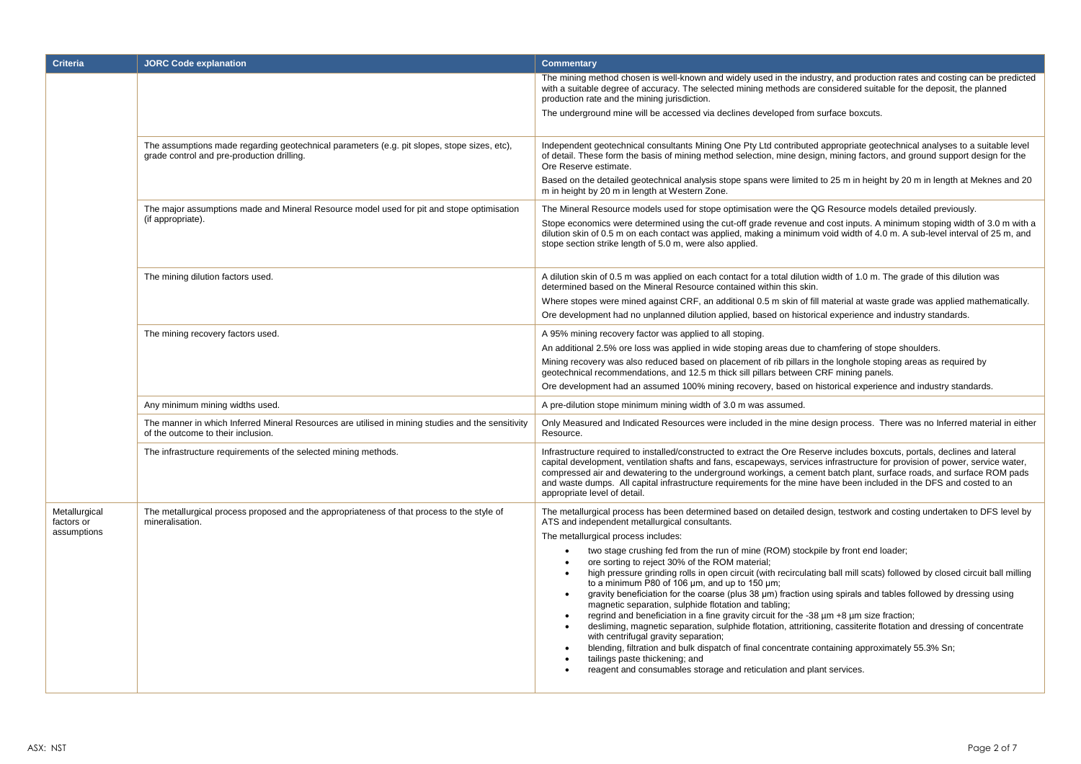| <b>Criteria</b>                            | <b>JORC Code explanation</b>                                                                                                              | Commentary                                                                                                                                                                                                                                                                                                                                                                                                                                                                                                                                                                                                                                                                                                                                                                                                                                                                                                                                                                                                                                                                                                                                                                                                                                     |
|--------------------------------------------|-------------------------------------------------------------------------------------------------------------------------------------------|------------------------------------------------------------------------------------------------------------------------------------------------------------------------------------------------------------------------------------------------------------------------------------------------------------------------------------------------------------------------------------------------------------------------------------------------------------------------------------------------------------------------------------------------------------------------------------------------------------------------------------------------------------------------------------------------------------------------------------------------------------------------------------------------------------------------------------------------------------------------------------------------------------------------------------------------------------------------------------------------------------------------------------------------------------------------------------------------------------------------------------------------------------------------------------------------------------------------------------------------|
|                                            |                                                                                                                                           | The mining method chosen is well-known and widely used in the industry, and production rates and costing can be predicted<br>with a suitable degree of accuracy. The selected mining methods are considered suitable for the deposit, the planned<br>production rate and the mining jurisdiction.<br>The underground mine will be accessed via declines developed from surface boxcuts.                                                                                                                                                                                                                                                                                                                                                                                                                                                                                                                                                                                                                                                                                                                                                                                                                                                        |
|                                            | The assumptions made regarding geotechnical parameters (e.g. pit slopes, stope sizes, etc),<br>grade control and pre-production drilling. | Independent geotechnical consultants Mining One Pty Ltd contributed appropriate geotechnical analyses to a suitable level<br>of detail. These form the basis of mining method selection, mine design, mining factors, and ground support design for the<br>Ore Reserve estimate.<br>Based on the detailed geotechnical analysis stope spans were limited to 25 m in height by 20 m in length at Meknes and 20<br>m in height by 20 m in length at Western Zone.                                                                                                                                                                                                                                                                                                                                                                                                                                                                                                                                                                                                                                                                                                                                                                                |
|                                            | The major assumptions made and Mineral Resource model used for pit and stope optimisation<br>(if appropriate).                            | The Mineral Resource models used for stope optimisation were the QG Resource models detailed previously.<br>Stope economics were determined using the cut-off grade revenue and cost inputs. A minimum stoping width of 3.0 m with a<br>dilution skin of 0.5 m on each contact was applied, making a minimum void width of 4.0 m. A sub-level interval of 25 m, and<br>stope section strike length of 5.0 m, were also applied.                                                                                                                                                                                                                                                                                                                                                                                                                                                                                                                                                                                                                                                                                                                                                                                                                |
|                                            | The mining dilution factors used.                                                                                                         | A dilution skin of 0.5 m was applied on each contact for a total dilution width of 1.0 m. The grade of this dilution was<br>determined based on the Mineral Resource contained within this skin.<br>Where stopes were mined against CRF, an additional 0.5 m skin of fill material at waste grade was applied mathematically.<br>Ore development had no unplanned dilution applied, based on historical experience and industry standards.                                                                                                                                                                                                                                                                                                                                                                                                                                                                                                                                                                                                                                                                                                                                                                                                     |
|                                            | The mining recovery factors used.                                                                                                         | A 95% mining recovery factor was applied to all stoping.<br>An additional 2.5% ore loss was applied in wide stoping areas due to chamfering of stope shoulders.<br>Mining recovery was also reduced based on placement of rib pillars in the longhole stoping areas as required by<br>geotechnical recommendations, and 12.5 m thick sill pillars between CRF mining panels.<br>Ore development had an assumed 100% mining recovery, based on historical experience and industry standards.                                                                                                                                                                                                                                                                                                                                                                                                                                                                                                                                                                                                                                                                                                                                                    |
|                                            | Any minimum mining widths used.                                                                                                           | A pre-dilution stope minimum mining width of 3.0 m was assumed.                                                                                                                                                                                                                                                                                                                                                                                                                                                                                                                                                                                                                                                                                                                                                                                                                                                                                                                                                                                                                                                                                                                                                                                |
|                                            | The manner in which Inferred Mineral Resources are utilised in mining studies and the sensitivity<br>of the outcome to their inclusion.   | Only Measured and Indicated Resources were included in the mine design process. There was no Inferred material in either<br>Resource.                                                                                                                                                                                                                                                                                                                                                                                                                                                                                                                                                                                                                                                                                                                                                                                                                                                                                                                                                                                                                                                                                                          |
|                                            | The infrastructure requirements of the selected mining methods.                                                                           | Infrastructure required to installed/constructed to extract the Ore Reserve includes boxcuts, portals, declines and lateral<br>capital development, ventilation shafts and fans, escapeways, services infrastructure for provision of power, service water,<br>compressed air and dewatering to the underground workings, a cement batch plant, surface roads, and surface ROM pads<br>and waste dumps. All capital infrastructure requirements for the mine have been included in the DFS and costed to an<br>appropriate level of detail.                                                                                                                                                                                                                                                                                                                                                                                                                                                                                                                                                                                                                                                                                                    |
| Metallurgical<br>factors or<br>assumptions | The metallurgical process proposed and the appropriateness of that process to the style of<br>mineralisation.                             | The metallurgical process has been determined based on detailed design, testwork and costing undertaken to DFS level by<br>ATS and independent metallurgical consultants.<br>The metallurgical process includes:<br>two stage crushing fed from the run of mine (ROM) stockpile by front end loader;<br>ore sorting to reject 30% of the ROM material;<br>$\bullet$<br>high pressure grinding rolls in open circuit (with recirculating ball mill scats) followed by closed circuit ball milling<br>to a minimum P80 of 106 um, and up to 150 um;<br>gravity beneficiation for the coarse (plus $38 \mu m$ ) fraction using spirals and tables followed by dressing using<br>magnetic separation, sulphide flotation and tabling;<br>regrind and beneficiation in a fine gravity circuit for the -38 µm +8 µm size fraction;<br>desliming, magnetic separation, sulphide flotation, attritioning, cassiterite flotation and dressing of concentrate<br>$\bullet$<br>with centrifugal gravity separation;<br>blending, filtration and bulk dispatch of final concentrate containing approximately 55.3% Sn;<br>$\bullet$<br>tailings paste thickening; and<br>reagent and consumables storage and reticulation and plant services.<br>$\bullet$ |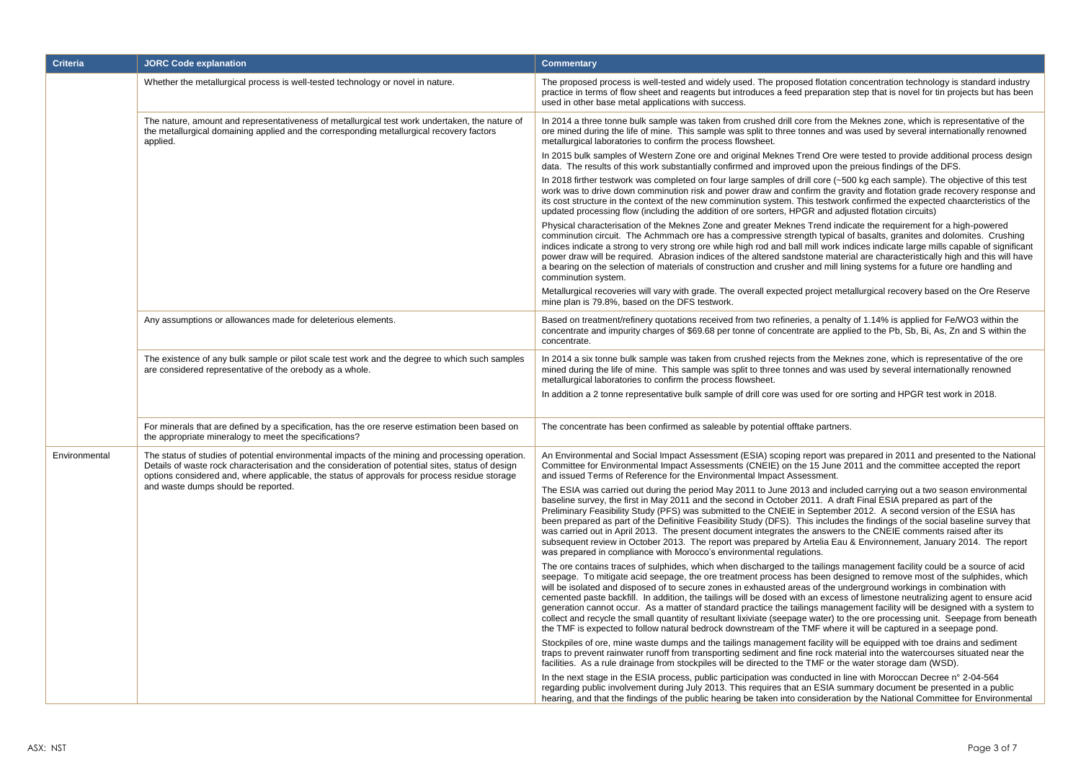| <b>Criteria</b> | <b>JORC Code explanation</b>                                                                                                                                                                                                                                                                           | <b>Commentary</b>                                                                                                                                                                                                                                                                                                                                                                                                                                                                                                                                                                                                                                                                                                                                                                                                                                                                                 |
|-----------------|--------------------------------------------------------------------------------------------------------------------------------------------------------------------------------------------------------------------------------------------------------------------------------------------------------|---------------------------------------------------------------------------------------------------------------------------------------------------------------------------------------------------------------------------------------------------------------------------------------------------------------------------------------------------------------------------------------------------------------------------------------------------------------------------------------------------------------------------------------------------------------------------------------------------------------------------------------------------------------------------------------------------------------------------------------------------------------------------------------------------------------------------------------------------------------------------------------------------|
|                 | Whether the metallurgical process is well-tested technology or novel in nature.                                                                                                                                                                                                                        | The proposed process is well-tested and widely used. The proposed flotation concentration technology is standard industry<br>practice in terms of flow sheet and reagents but introduces a feed preparation step that is novel for tin projects but has been<br>used in other base metal applications with success.                                                                                                                                                                                                                                                                                                                                                                                                                                                                                                                                                                               |
|                 | The nature, amount and representativeness of metallurgical test work undertaken, the nature of<br>the metallurgical domaining applied and the corresponding metallurgical recovery factors<br>applied.                                                                                                 | In 2014 a three tonne bulk sample was taken from crushed drill core from the Meknes zone, which is representative of the<br>ore mined during the life of mine. This sample was split to three tonnes and was used by several internationally renowned<br>metallurgical laboratories to confirm the process flowsheet.                                                                                                                                                                                                                                                                                                                                                                                                                                                                                                                                                                             |
|                 |                                                                                                                                                                                                                                                                                                        | In 2015 bulk samples of Western Zone ore and original Meknes Trend Ore were tested to provide additional process design<br>data. The results of this work substantially confirmed and improved upon the preious findings of the DFS.                                                                                                                                                                                                                                                                                                                                                                                                                                                                                                                                                                                                                                                              |
|                 |                                                                                                                                                                                                                                                                                                        | In 2018 firther testwork was completed on four large samples of drill core (~500 kg each sample). The objective of this test<br>work was to drive down comminution risk and power draw and confirm the gravity and flotation grade recovery response and<br>its cost structure in the context of the new comminution system. This testwork confirmed the expected chaarcteristics of the<br>updated processing flow (including the addition of ore sorters, HPGR and adjusted flotation circuits)                                                                                                                                                                                                                                                                                                                                                                                                 |
|                 |                                                                                                                                                                                                                                                                                                        | Physical characterisation of the Meknes Zone and greater Meknes Trend indicate the requirement for a high-powered<br>comminution circuit. The Achmmach ore has a compressive strength typical of basalts, granites and dolomites. Crushing<br>indices indicate a strong to very strong ore while high rod and ball mill work indices indicate large mills capable of significant<br>power draw will be required. Abrasion indices of the altered sandstone material are characteristically high and this will have<br>a bearing on the selection of materials of construction and crusher and mill lining systems for a future ore handling and<br>comminution system.                                                                                                                                                                                                                            |
|                 |                                                                                                                                                                                                                                                                                                        | Metallurgical recoveries will vary with grade. The overall expected project metallurgical recovery based on the Ore Reserve<br>mine plan is 79.8%, based on the DFS testwork.                                                                                                                                                                                                                                                                                                                                                                                                                                                                                                                                                                                                                                                                                                                     |
|                 | Any assumptions or allowances made for deleterious elements.                                                                                                                                                                                                                                           | Based on treatment/refinery quotations received from two refineries, a penalty of 1.14% is applied for Fe/WO3 within the<br>concentrate and impurity charges of \$69.68 per tonne of concentrate are applied to the Pb, Sb, Bi, As, Zn and S within the<br>concentrate.                                                                                                                                                                                                                                                                                                                                                                                                                                                                                                                                                                                                                           |
|                 | The existence of any bulk sample or pilot scale test work and the degree to which such samples<br>are considered representative of the orebody as a whole.                                                                                                                                             | In 2014 a six tonne bulk sample was taken from crushed rejects from the Meknes zone, which is representative of the ore<br>mined during the life of mine. This sample was split to three tonnes and was used by several internationally renowned<br>metallurgical laboratories to confirm the process flowsheet.                                                                                                                                                                                                                                                                                                                                                                                                                                                                                                                                                                                  |
|                 |                                                                                                                                                                                                                                                                                                        | In addition a 2 tonne representative bulk sample of drill core was used for ore sorting and HPGR test work in 2018.                                                                                                                                                                                                                                                                                                                                                                                                                                                                                                                                                                                                                                                                                                                                                                               |
|                 | For minerals that are defined by a specification, has the ore reserve estimation been based on<br>the appropriate mineralogy to meet the specifications?                                                                                                                                               | The concentrate has been confirmed as saleable by potential offtake partners.                                                                                                                                                                                                                                                                                                                                                                                                                                                                                                                                                                                                                                                                                                                                                                                                                     |
| Environmental   | The status of studies of potential environmental impacts of the mining and processing operation.<br>Details of waste rock characterisation and the consideration of potential sites, status of design<br>options considered and, where applicable, the status of approvals for process residue storage | An Environmental and Social Impact Assessment (ESIA) scoping report was prepared in 2011 and presented to the National<br>Committee for Environmental Impact Assessments (CNEIE) on the 15 June 2011 and the committee accepted the report<br>and issued Terms of Reference for the Environmental Impact Assessment.                                                                                                                                                                                                                                                                                                                                                                                                                                                                                                                                                                              |
|                 | and waste dumps should be reported.                                                                                                                                                                                                                                                                    | The ESIA was carried out during the period May 2011 to June 2013 and included carrying out a two season environmental<br>baseline survey, the first in May 2011 and the second in October 2011. A draft Final ESIA prepared as part of the<br>Preliminary Feasibility Study (PFS) was submitted to the CNEIE in September 2012. A second version of the ESIA has<br>been prepared as part of the Definitive Feasibility Study (DFS). This includes the findings of the social baseline survey that<br>was carried out in April 2013. The present document integrates the answers to the CNEIE comments raised after its<br>subsequent review in October 2013. The report was prepared by Artelia Eau & Environnement, January 2014. The report<br>was prepared in compliance with Morocco's environmental regulations.                                                                            |
|                 |                                                                                                                                                                                                                                                                                                        | The ore contains traces of sulphides, which when discharged to the tailings management facility could be a source of acid<br>seepage. To mitigate acid seepage, the ore treatment process has been designed to remove most of the sulphides, which<br>will be isolated and disposed of to secure zones in exhausted areas of the underground workings in combination with<br>cemented paste backfill. In addition, the tailings will be dosed with an excess of limestone neutralizing agent to ensure acid<br>generation cannot occur. As a matter of standard practice the tailings management facility will be designed with a system to<br>collect and recycle the small quantity of resultant lixiviate (seepage water) to the ore processing unit. Seepage from beneath<br>the TMF is expected to follow natural bedrock downstream of the TMF where it will be captured in a seepage pond. |
|                 |                                                                                                                                                                                                                                                                                                        | Stockpiles of ore, mine waste dumps and the tailings management facility will be equipped with toe drains and sediment<br>traps to prevent rainwater runoff from transporting sediment and fine rock material into the watercourses situated near the<br>facilities. As a rule drainage from stockpiles will be directed to the TMF or the water storage dam (WSD).                                                                                                                                                                                                                                                                                                                                                                                                                                                                                                                               |
|                 |                                                                                                                                                                                                                                                                                                        | In the next stage in the ESIA process, public participation was conducted in line with Moroccan Decree n° 2-04-564<br>regarding public involvement during July 2013. This requires that an ESIA summary document be presented in a public<br>hearing, and that the findings of the public hearing be taken into consideration by the National Committee for Environmental                                                                                                                                                                                                                                                                                                                                                                                                                                                                                                                         |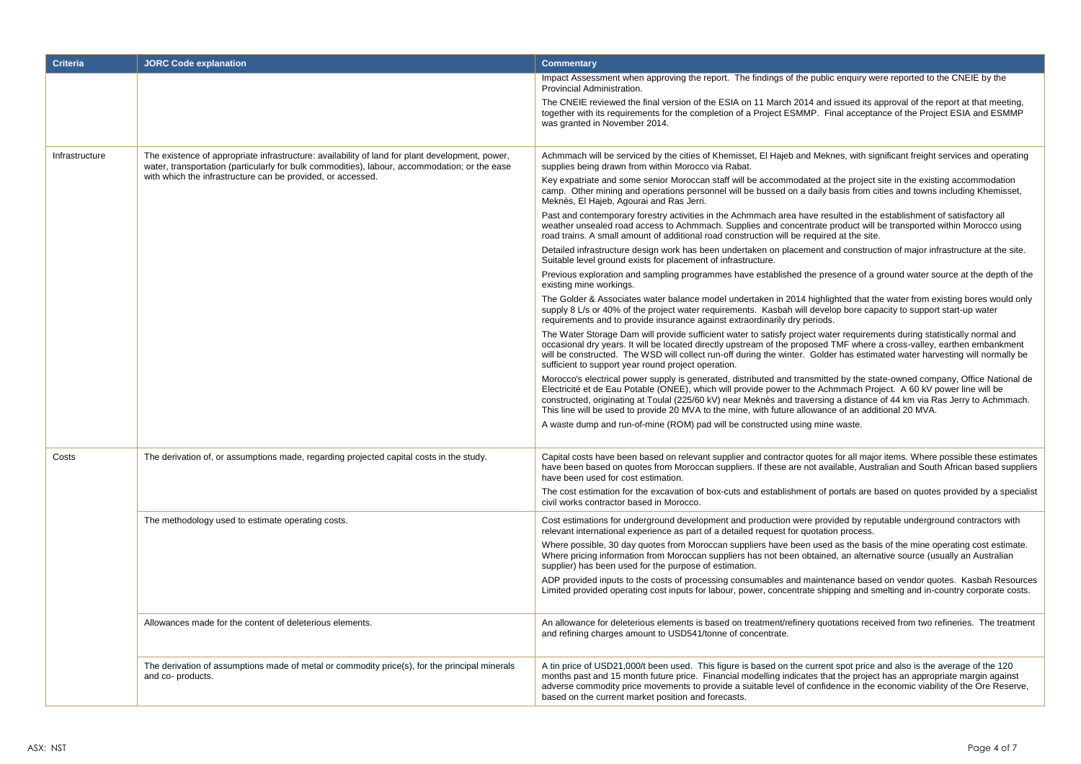| <b>Criteria</b> | <b>JORC Code explanation</b>                                                                                                                                                                     | <b>Commentary</b>                                                                                                                                                                                                                                                                                                                                                                                                                                                                    |  |  |  |  |
|-----------------|--------------------------------------------------------------------------------------------------------------------------------------------------------------------------------------------------|--------------------------------------------------------------------------------------------------------------------------------------------------------------------------------------------------------------------------------------------------------------------------------------------------------------------------------------------------------------------------------------------------------------------------------------------------------------------------------------|--|--|--|--|
|                 |                                                                                                                                                                                                  | Impact Assessment when approving the report. The findings of the public enguiry were reported to the CNEIE by the<br>Provincial Administration.                                                                                                                                                                                                                                                                                                                                      |  |  |  |  |
|                 |                                                                                                                                                                                                  | The CNEIE reviewed the final version of the ESIA on 11 March 2014 and issued its approval of the report at that meeting,<br>together with its requirements for the completion of a Project ESMMP. Final acceptance of the Project ESIA and ESMMP<br>was granted in November 2014.                                                                                                                                                                                                    |  |  |  |  |
| Infrastructure  | The existence of appropriate infrastructure: availability of land for plant development, power,<br>water, transportation (particularly for bulk commodities), labour, accommodation; or the ease | Achmmach will be serviced by the cities of Khemisset, El Hajeb and Meknes, with significant freight services and operating<br>supplies being drawn from within Morocco via Rabat.                                                                                                                                                                                                                                                                                                    |  |  |  |  |
|                 | with which the infrastructure can be provided, or accessed.                                                                                                                                      | Key expatriate and some senior Moroccan staff will be accommodated at the project site in the existing accommodation<br>camp. Other mining and operations personnel will be bussed on a daily basis from cities and towns including Khemisset,<br>Meknès, El Hajeb, Agourai and Ras Jerri.                                                                                                                                                                                           |  |  |  |  |
|                 |                                                                                                                                                                                                  | Past and contemporary forestry activities in the Achmmach area have resulted in the establishment of satisfactory all<br>weather unsealed road access to Achmmach. Supplies and concentrate product will be transported within Morocco using<br>road trains. A small amount of additional road construction will be required at the site.                                                                                                                                            |  |  |  |  |
|                 |                                                                                                                                                                                                  | Detailed infrastructure design work has been undertaken on placement and construction of major infrastructure at the site.<br>Suitable level ground exists for placement of infrastructure.                                                                                                                                                                                                                                                                                          |  |  |  |  |
|                 |                                                                                                                                                                                                  | Previous exploration and sampling programmes have established the presence of a ground water source at the depth of the<br>existing mine workings.                                                                                                                                                                                                                                                                                                                                   |  |  |  |  |
|                 |                                                                                                                                                                                                  | The Golder & Associates water balance model undertaken in 2014 highlighted that the water from existing bores would only<br>supply 8 L/s or 40% of the project water requirements. Kasbah will develop bore capacity to support start-up water<br>requirements and to provide insurance against extraordinarily dry periods.                                                                                                                                                         |  |  |  |  |
|                 |                                                                                                                                                                                                  | The Water Storage Dam will provide sufficient water to satisfy project water requirements during statistically normal and<br>occasional dry years. It will be located directly upstream of the proposed TMF where a cross-valley, earthen embankment<br>will be constructed. The WSD will collect run-off during the winter. Golder has estimated water harvesting will normally be<br>sufficient to support year round project operation.                                           |  |  |  |  |
|                 |                                                                                                                                                                                                  | Morocco's electrical power supply is generated, distributed and transmitted by the state-owned company, Office National de<br>Electricité et de Eau Potable (ONEE), which will provide power to the Achmmach Project. A 60 kV power line will be<br>constructed, originating at Toulal (225/60 kV) near Meknès and traversing a distance of 44 km via Ras Jerry to Achmmach.<br>This line will be used to provide 20 MVA to the mine, with future allowance of an additional 20 MVA. |  |  |  |  |
|                 |                                                                                                                                                                                                  | A waste dump and run-of-mine (ROM) pad will be constructed using mine waste.                                                                                                                                                                                                                                                                                                                                                                                                         |  |  |  |  |
| Costs           | The derivation of, or assumptions made, regarding projected capital costs in the study.                                                                                                          | Capital costs have been based on relevant supplier and contractor quotes for all major items. Where possible these estimates<br>have been based on quotes from Moroccan suppliers. If these are not available, Australian and South African based suppliers<br>have been used for cost estimation.                                                                                                                                                                                   |  |  |  |  |
|                 |                                                                                                                                                                                                  | The cost estimation for the excavation of box-cuts and establishment of portals are based on quotes provided by a specialist<br>civil works contractor based in Morocco.                                                                                                                                                                                                                                                                                                             |  |  |  |  |
|                 | The methodology used to estimate operating costs.                                                                                                                                                | Cost estimations for underground development and production were provided by reputable underground contractors with<br>relevant international experience as part of a detailed request for quotation process.                                                                                                                                                                                                                                                                        |  |  |  |  |
|                 |                                                                                                                                                                                                  | Where possible, 30 day quotes from Moroccan suppliers have been used as the basis of the mine operating cost estimate.<br>Where pricing information from Moroccan suppliers has not been obtained, an alternative source (usually an Australian<br>supplier) has been used for the purpose of estimation.                                                                                                                                                                            |  |  |  |  |
|                 |                                                                                                                                                                                                  | ADP provided inputs to the costs of processing consumables and maintenance based on vendor quotes. Kasbah Resources<br>Limited provided operating cost inputs for labour, power, concentrate shipping and smelting and in-country corporate costs.                                                                                                                                                                                                                                   |  |  |  |  |
|                 | Allowances made for the content of deleterious elements.                                                                                                                                         | An allowance for deleterious elements is based on treatment/refinery quotations received from two refineries. The treatment<br>and refining charges amount to USD541/tonne of concentrate.                                                                                                                                                                                                                                                                                           |  |  |  |  |
|                 | The derivation of assumptions made of metal or commodity price(s), for the principal minerals<br>and co- products.                                                                               | A tin price of USD21,000/t been used. This figure is based on the current spot price and also is the average of the 120<br>months past and 15 month future price. Financial modelling indicates that the project has an appropriate margin against<br>adverse commodity price movements to provide a suitable level of confidence in the economic viability of the Ore Reserve,<br>based on the current market position and forecasts.                                               |  |  |  |  |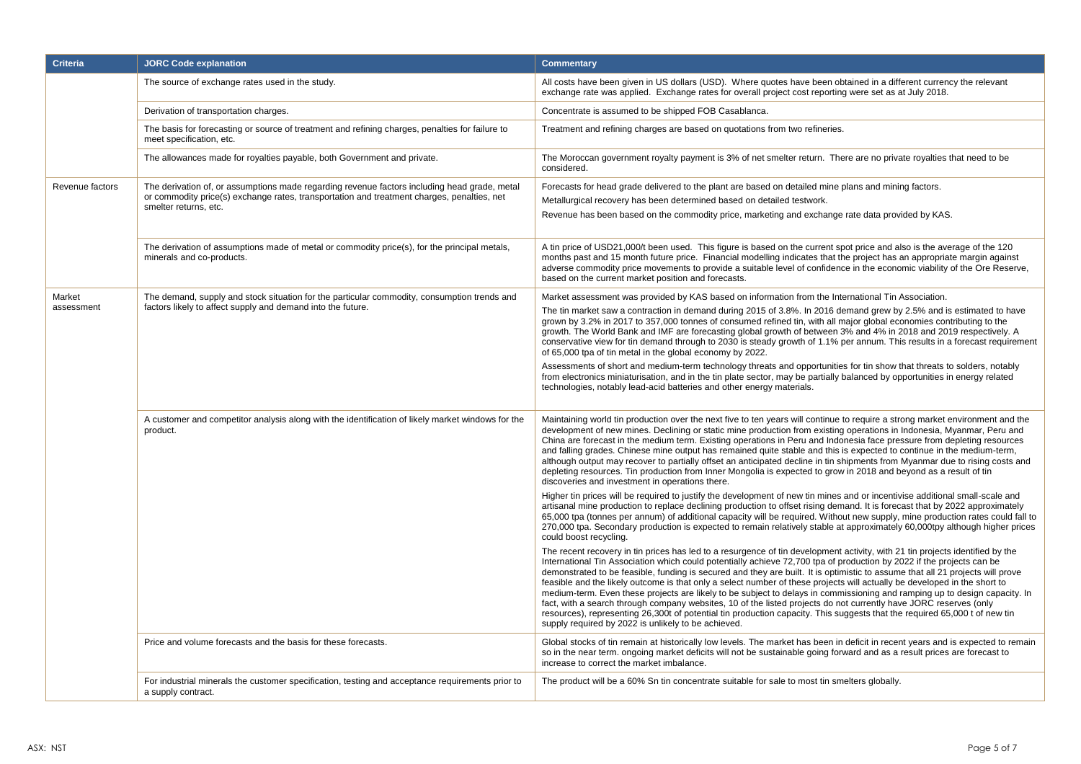| <b>Criteria</b> | <b>JORC Code explanation</b>                                                                                                | <b>Commentary</b>                                                                                                                                                                                                                                                                                                                                                                                                                                                                                                                                                                                                                                                                                                                                                                                                                                                                                                                                             |  |  |  |  |
|-----------------|-----------------------------------------------------------------------------------------------------------------------------|---------------------------------------------------------------------------------------------------------------------------------------------------------------------------------------------------------------------------------------------------------------------------------------------------------------------------------------------------------------------------------------------------------------------------------------------------------------------------------------------------------------------------------------------------------------------------------------------------------------------------------------------------------------------------------------------------------------------------------------------------------------------------------------------------------------------------------------------------------------------------------------------------------------------------------------------------------------|--|--|--|--|
|                 | The source of exchange rates used in the study.                                                                             | All costs have been given in US dollars (USD). Where quotes have been obtained in a different currency the relevant<br>exchange rate was applied. Exchange rates for overall project cost reporting were set as at July 2018.                                                                                                                                                                                                                                                                                                                                                                                                                                                                                                                                                                                                                                                                                                                                 |  |  |  |  |
|                 | Derivation of transportation charges.                                                                                       | Concentrate is assumed to be shipped FOB Casablanca.                                                                                                                                                                                                                                                                                                                                                                                                                                                                                                                                                                                                                                                                                                                                                                                                                                                                                                          |  |  |  |  |
|                 | The basis for forecasting or source of treatment and refining charges, penalties for failure to<br>meet specification, etc. | Treatment and refining charges are based on quotations from two refineries.                                                                                                                                                                                                                                                                                                                                                                                                                                                                                                                                                                                                                                                                                                                                                                                                                                                                                   |  |  |  |  |
|                 | The allowances made for royalties payable, both Government and private.                                                     | The Moroccan government royalty payment is 3% of net smelter return. There are no private royalties that need to be<br>considered.                                                                                                                                                                                                                                                                                                                                                                                                                                                                                                                                                                                                                                                                                                                                                                                                                            |  |  |  |  |
| Revenue factors | The derivation of, or assumptions made regarding revenue factors including head grade, metal                                | Forecasts for head grade delivered to the plant are based on detailed mine plans and mining factors.                                                                                                                                                                                                                                                                                                                                                                                                                                                                                                                                                                                                                                                                                                                                                                                                                                                          |  |  |  |  |
|                 | or commodity price(s) exchange rates, transportation and treatment charges, penalties, net<br>smelter returns, etc.         | Metallurgical recovery has been determined based on detailed testwork.                                                                                                                                                                                                                                                                                                                                                                                                                                                                                                                                                                                                                                                                                                                                                                                                                                                                                        |  |  |  |  |
|                 |                                                                                                                             | Revenue has been based on the commodity price, marketing and exchange rate data provided by KAS.                                                                                                                                                                                                                                                                                                                                                                                                                                                                                                                                                                                                                                                                                                                                                                                                                                                              |  |  |  |  |
|                 | The derivation of assumptions made of metal or commodity price(s), for the principal metals,<br>minerals and co-products.   | A tin price of USD21,000/t been used. This figure is based on the current spot price and also is the average of the 120<br>months past and 15 month future price. Financial modelling indicates that the project has an appropriate margin against<br>adverse commodity price movements to provide a suitable level of confidence in the economic viability of the Ore Reserve,<br>based on the current market position and forecasts.                                                                                                                                                                                                                                                                                                                                                                                                                                                                                                                        |  |  |  |  |
| Market          | The demand, supply and stock situation for the particular commodity, consumption trends and                                 | Market assessment was provided by KAS based on information from the International Tin Association.                                                                                                                                                                                                                                                                                                                                                                                                                                                                                                                                                                                                                                                                                                                                                                                                                                                            |  |  |  |  |
| assessment      | factors likely to affect supply and demand into the future.                                                                 | The tin market saw a contraction in demand during 2015 of 3.8%. In 2016 demand grew by 2.5% and is estimated to have<br>grown by 3.2% in 2017 to 357,000 tonnes of consumed refined tin, with all major global economies contributing to the<br>growth. The World Bank and IMF are forecasting global growth of between 3% and 4% in 2018 and 2019 respectively. A<br>conservative view for tin demand through to 2030 is steady growth of 1.1% per annum. This results in a forecast requirement<br>of 65,000 tpa of tin metal in the global economy by 2022.                                                                                                                                                                                                                                                                                                                                                                                                |  |  |  |  |
|                 |                                                                                                                             | Assessments of short and medium-term technology threats and opportunities for tin show that threats to solders, notably<br>from electronics miniaturisation, and in the tin plate sector, may be partially balanced by opportunities in energy related<br>technologies, notably lead-acid batteries and other energy materials.                                                                                                                                                                                                                                                                                                                                                                                                                                                                                                                                                                                                                               |  |  |  |  |
|                 | A customer and competitor analysis along with the identification of likely market windows for the<br>product.               | Maintaining world tin production over the next five to ten years will continue to require a strong market environment and the<br>development of new mines. Declining or static mine production from existing operations in Indonesia, Myanmar, Peru and<br>China are forecast in the medium term. Existing operations in Peru and Indonesia face pressure from depleting resources<br>and falling grades. Chinese mine output has remained quite stable and this is expected to continue in the medium-term,<br>although output may recover to partially offset an anticipated decline in tin shipments from Myanmar due to rising costs and<br>depleting resources. Tin production from Inner Mongolia is expected to grow in 2018 and beyond as a result of tin<br>discoveries and investment in operations there.                                                                                                                                          |  |  |  |  |
|                 |                                                                                                                             | Higher tin prices will be required to justify the development of new tin mines and or incentivise additional small-scale and<br>artisanal mine production to replace declining production to offset rising demand. It is forecast that by 2022 approximately<br>65,000 tpa (tonnes per annum) of additional capacity will be required. Without new supply, mine production rates could fall to<br>270,000 tpa. Secondary production is expected to remain relatively stable at approximately 60,000tpy although higher prices<br>could boost recycling.                                                                                                                                                                                                                                                                                                                                                                                                       |  |  |  |  |
|                 |                                                                                                                             | The recent recovery in tin prices has led to a resurgence of tin development activity, with 21 tin projects identified by the<br>International Tin Association which could potentially achieve 72,700 tpa of production by 2022 if the projects can be<br>demonstrated to be feasible, funding is secured and they are built. It is optimistic to assume that all 21 projects will prove<br>feasible and the likely outcome is that only a select number of these projects will actually be developed in the short to<br>medium-term. Even these projects are likely to be subject to delays in commissioning and ramping up to design capacity. In<br>fact, with a search through company websites, 10 of the listed projects do not currently have JORC reserves (only<br>resources), representing 26,300t of potential tin production capacity. This suggests that the required 65,000 t of new tin<br>supply required by 2022 is unlikely to be achieved. |  |  |  |  |
|                 | Price and volume forecasts and the basis for these forecasts.                                                               | Global stocks of tin remain at historically low levels. The market has been in deficit in recent years and is expected to remain<br>so in the near term. ongoing market deficits will not be sustainable going forward and as a result prices are forecast to<br>increase to correct the market imbalance.                                                                                                                                                                                                                                                                                                                                                                                                                                                                                                                                                                                                                                                    |  |  |  |  |
|                 | For industrial minerals the customer specification, testing and acceptance requirements prior to<br>a supply contract.      | The product will be a 60% Sn tin concentrate suitable for sale to most tin smelters globally.                                                                                                                                                                                                                                                                                                                                                                                                                                                                                                                                                                                                                                                                                                                                                                                                                                                                 |  |  |  |  |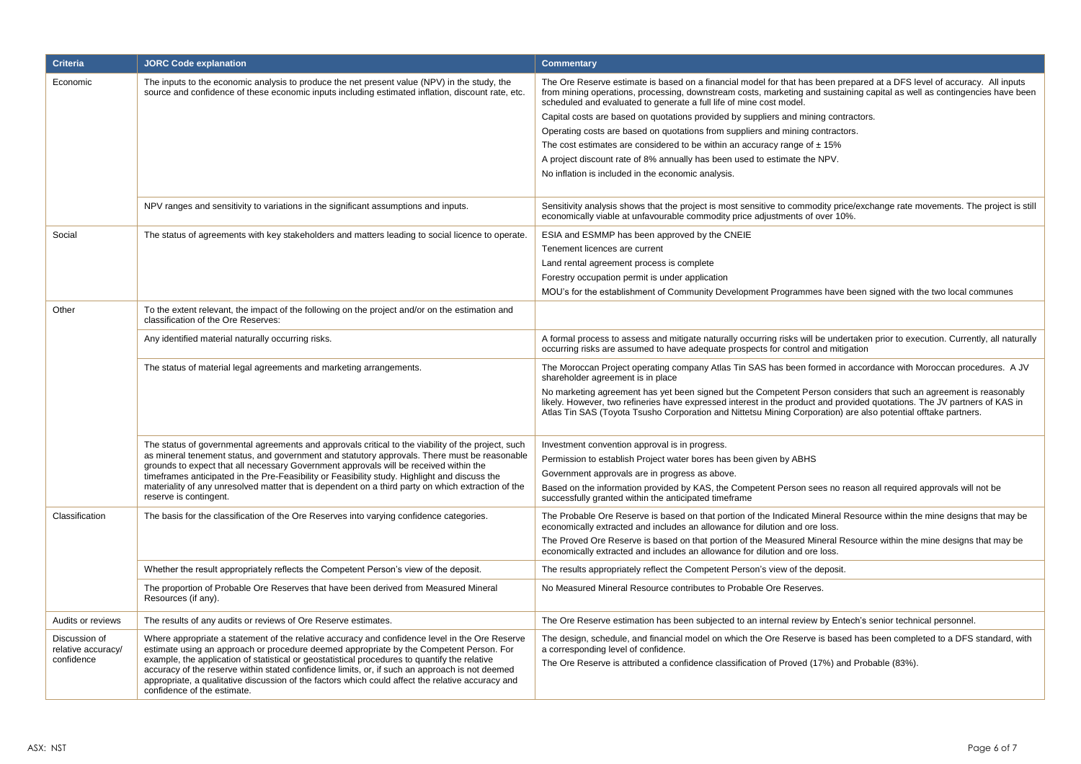| <b>Criteria</b>                                                                                    | <b>JORC Code explanation</b>                                                                                                                                                                                                                                                                                                        | <b>Commentary</b>                                                                                                                                                                                                                                                                                                                                                 |  |  |  |  |
|----------------------------------------------------------------------------------------------------|-------------------------------------------------------------------------------------------------------------------------------------------------------------------------------------------------------------------------------------------------------------------------------------------------------------------------------------|-------------------------------------------------------------------------------------------------------------------------------------------------------------------------------------------------------------------------------------------------------------------------------------------------------------------------------------------------------------------|--|--|--|--|
| Economic                                                                                           | The inputs to the economic analysis to produce the net present value (NPV) in the study, the<br>source and confidence of these economic inputs including estimated inflation, discount rate, etc.                                                                                                                                   | The Ore Reserve estimate is based on a financial model for that has been prepared at a DFS level of accuracy. All inputs<br>from mining operations, processing, downstream costs, marketing and sustaining capital as well as contingencies have been<br>scheduled and evaluated to generate a full life of mine cost model.                                      |  |  |  |  |
|                                                                                                    |                                                                                                                                                                                                                                                                                                                                     | Capital costs are based on quotations provided by suppliers and mining contractors.                                                                                                                                                                                                                                                                               |  |  |  |  |
|                                                                                                    |                                                                                                                                                                                                                                                                                                                                     | Operating costs are based on quotations from suppliers and mining contractors.                                                                                                                                                                                                                                                                                    |  |  |  |  |
|                                                                                                    |                                                                                                                                                                                                                                                                                                                                     | The cost estimates are considered to be within an accuracy range of $\pm$ 15%                                                                                                                                                                                                                                                                                     |  |  |  |  |
|                                                                                                    |                                                                                                                                                                                                                                                                                                                                     | A project discount rate of 8% annually has been used to estimate the NPV.                                                                                                                                                                                                                                                                                         |  |  |  |  |
|                                                                                                    |                                                                                                                                                                                                                                                                                                                                     | No inflation is included in the economic analysis.                                                                                                                                                                                                                                                                                                                |  |  |  |  |
|                                                                                                    |                                                                                                                                                                                                                                                                                                                                     |                                                                                                                                                                                                                                                                                                                                                                   |  |  |  |  |
|                                                                                                    | NPV ranges and sensitivity to variations in the significant assumptions and inputs.                                                                                                                                                                                                                                                 | Sensitivity analysis shows that the project is most sensitive to commodity price/exchange rate movements. The project is still<br>economically viable at unfavourable commodity price adjustments of over 10%.                                                                                                                                                    |  |  |  |  |
| Social                                                                                             | The status of agreements with key stakeholders and matters leading to social licence to operate.                                                                                                                                                                                                                                    | ESIA and ESMMP has been approved by the CNEIE                                                                                                                                                                                                                                                                                                                     |  |  |  |  |
|                                                                                                    |                                                                                                                                                                                                                                                                                                                                     | Tenement licences are current                                                                                                                                                                                                                                                                                                                                     |  |  |  |  |
|                                                                                                    |                                                                                                                                                                                                                                                                                                                                     | Land rental agreement process is complete                                                                                                                                                                                                                                                                                                                         |  |  |  |  |
|                                                                                                    |                                                                                                                                                                                                                                                                                                                                     | Forestry occupation permit is under application                                                                                                                                                                                                                                                                                                                   |  |  |  |  |
|                                                                                                    |                                                                                                                                                                                                                                                                                                                                     | MOU's for the establishment of Community Development Programmes have been signed with the two local communes                                                                                                                                                                                                                                                      |  |  |  |  |
| Other                                                                                              | To the extent relevant, the impact of the following on the project and/or on the estimation and<br>classification of the Ore Reserves:                                                                                                                                                                                              |                                                                                                                                                                                                                                                                                                                                                                   |  |  |  |  |
|                                                                                                    | Any identified material naturally occurring risks.                                                                                                                                                                                                                                                                                  | A formal process to assess and mitigate naturally occurring risks will be undertaken prior to execution. Currently, all naturally<br>occurring risks are assumed to have adequate prospects for control and mitigation                                                                                                                                            |  |  |  |  |
|                                                                                                    | The status of material legal agreements and marketing arrangements.                                                                                                                                                                                                                                                                 | The Moroccan Project operating company Atlas Tin SAS has been formed in accordance with Moroccan procedures. A JV<br>shareholder agreement is in place                                                                                                                                                                                                            |  |  |  |  |
|                                                                                                    |                                                                                                                                                                                                                                                                                                                                     | No marketing agreement has yet been signed but the Competent Person considers that such an agreement is reasonably<br>likely. However, two refineries have expressed interest in the product and provided quotations. The JV partners of KAS in<br>Atlas Tin SAS (Toyota Tsusho Corporation and Nittetsu Mining Corporation) are also potential offtake partners. |  |  |  |  |
| The status of governmental agreements and approvals critical to the viability of the project, such |                                                                                                                                                                                                                                                                                                                                     | Investment convention approval is in progress.                                                                                                                                                                                                                                                                                                                    |  |  |  |  |
|                                                                                                    | as mineral tenement status, and government and statutory approvals. There must be reasonable                                                                                                                                                                                                                                        | Permission to establish Project water bores has been given by ABHS                                                                                                                                                                                                                                                                                                |  |  |  |  |
|                                                                                                    | grounds to expect that all necessary Government approvals will be received within the<br>timeframes anticipated in the Pre-Feasibility or Feasibility study. Highlight and discuss the                                                                                                                                              | Government approvals are in progress as above.                                                                                                                                                                                                                                                                                                                    |  |  |  |  |
|                                                                                                    | materiality of any unresolved matter that is dependent on a third party on which extraction of the<br>reserve is contingent.                                                                                                                                                                                                        | Based on the information provided by KAS, the Competent Person sees no reason all required approvals will not be<br>successfully granted within the anticipated timeframe                                                                                                                                                                                         |  |  |  |  |
| Classification                                                                                     | The basis for the classification of the Ore Reserves into varying confidence categories.                                                                                                                                                                                                                                            | The Probable Ore Reserve is based on that portion of the Indicated Mineral Resource within the mine designs that may be<br>economically extracted and includes an allowance for dilution and ore loss.                                                                                                                                                            |  |  |  |  |
|                                                                                                    |                                                                                                                                                                                                                                                                                                                                     | The Proved Ore Reserve is based on that portion of the Measured Mineral Resource within the mine designs that may be<br>economically extracted and includes an allowance for dilution and ore loss.                                                                                                                                                               |  |  |  |  |
|                                                                                                    | Whether the result appropriately reflects the Competent Person's view of the deposit.                                                                                                                                                                                                                                               | The results appropriately reflect the Competent Person's view of the deposit.                                                                                                                                                                                                                                                                                     |  |  |  |  |
|                                                                                                    | The proportion of Probable Ore Reserves that have been derived from Measured Mineral<br>Resources (if any).                                                                                                                                                                                                                         | No Measured Mineral Resource contributes to Probable Ore Reserves.                                                                                                                                                                                                                                                                                                |  |  |  |  |
| Audits or reviews                                                                                  | The results of any audits or reviews of Ore Reserve estimates.                                                                                                                                                                                                                                                                      | The Ore Reserve estimation has been subjected to an internal review by Entech's senior technical personnel.                                                                                                                                                                                                                                                       |  |  |  |  |
| Discussion of<br>relative accuracy/                                                                | Where appropriate a statement of the relative accuracy and confidence level in the Ore Reserve<br>estimate using an approach or procedure deemed appropriate by the Competent Person. For                                                                                                                                           | The design, schedule, and financial model on which the Ore Reserve is based has been completed to a DFS standard, with<br>a corresponding level of confidence.                                                                                                                                                                                                    |  |  |  |  |
| confidence                                                                                         | example, the application of statistical or geostatistical procedures to quantify the relative<br>accuracy of the reserve within stated confidence limits, or, if such an approach is not deemed<br>appropriate, a qualitative discussion of the factors which could affect the relative accuracy and<br>confidence of the estimate. | The Ore Reserve is attributed a confidence classification of Proved (17%) and Probable (83%).                                                                                                                                                                                                                                                                     |  |  |  |  |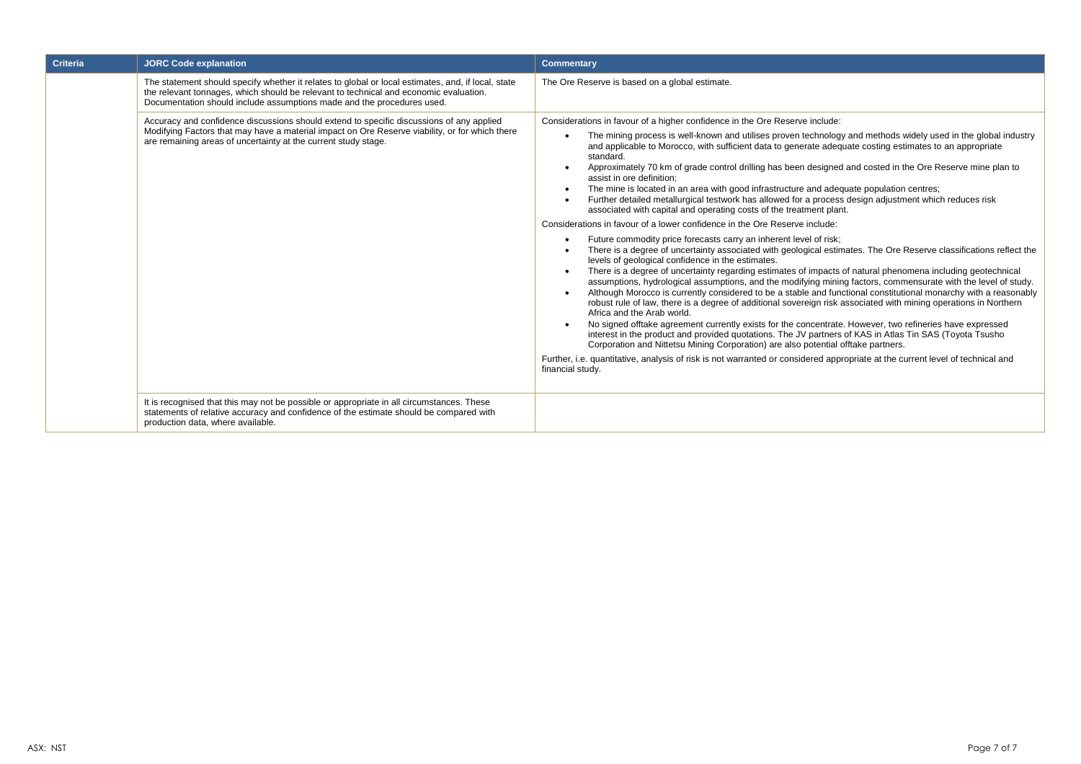| <b>Criteria</b> | <b>JORC Code explanation</b>                                                                                                                                                                                                                                          | <b>Commentary</b>                                                                                                                                                                                                                                                                                                                                                                                                                                                                                                                                                                                                                                                                                                                                                                                                                                                                                                                                                                                                                                                                                                                                                                                                                                                                                                                                                                                                                                                                                                                                                                                                                                                                                                                                                                                                                                                                                                                                                                                                                                    |  |  |  |
|-----------------|-----------------------------------------------------------------------------------------------------------------------------------------------------------------------------------------------------------------------------------------------------------------------|------------------------------------------------------------------------------------------------------------------------------------------------------------------------------------------------------------------------------------------------------------------------------------------------------------------------------------------------------------------------------------------------------------------------------------------------------------------------------------------------------------------------------------------------------------------------------------------------------------------------------------------------------------------------------------------------------------------------------------------------------------------------------------------------------------------------------------------------------------------------------------------------------------------------------------------------------------------------------------------------------------------------------------------------------------------------------------------------------------------------------------------------------------------------------------------------------------------------------------------------------------------------------------------------------------------------------------------------------------------------------------------------------------------------------------------------------------------------------------------------------------------------------------------------------------------------------------------------------------------------------------------------------------------------------------------------------------------------------------------------------------------------------------------------------------------------------------------------------------------------------------------------------------------------------------------------------------------------------------------------------------------------------------------------------|--|--|--|
|                 | The statement should specify whether it relates to global or local estimates, and, if local, state<br>the relevant tonnages, which should be relevant to technical and economic evaluation.<br>Documentation should include assumptions made and the procedures used. | The Ore Reserve is based on a global estimate.                                                                                                                                                                                                                                                                                                                                                                                                                                                                                                                                                                                                                                                                                                                                                                                                                                                                                                                                                                                                                                                                                                                                                                                                                                                                                                                                                                                                                                                                                                                                                                                                                                                                                                                                                                                                                                                                                                                                                                                                       |  |  |  |
|                 | Accuracy and confidence discussions should extend to specific discussions of any applied<br>Modifying Factors that may have a material impact on Ore Reserve viability, or for which there<br>are remaining areas of uncertainty at the current study stage.          | Considerations in favour of a higher confidence in the Ore Reserve include:<br>The mining process is well-known and utilises proven technology and methods widely used in the global industry<br>and applicable to Morocco, with sufficient data to generate adequate costing estimates to an appropriate<br>standard.<br>Approximately 70 km of grade control drilling has been designed and costed in the Ore Reserve mine plan to<br>assist in ore definition;<br>The mine is located in an area with good infrastructure and adequate population centres;<br>Further detailed metallurgical testwork has allowed for a process design adjustment which reduces risk<br>associated with capital and operating costs of the treatment plant.<br>Considerations in favour of a lower confidence in the Ore Reserve include:<br>Future commodity price forecasts carry an inherent level of risk;<br>There is a degree of uncertainty associated with geological estimates. The Ore Reserve classifications reflect the<br>levels of geological confidence in the estimates.<br>There is a degree of uncertainty regarding estimates of impacts of natural phenomena including geotechnical<br>assumptions, hydrological assumptions, and the modifying mining factors, commensurate with the level of study.<br>Although Morocco is currently considered to be a stable and functional constitutional monarchy with a reasonably<br>robust rule of law, there is a degree of additional sovereign risk associated with mining operations in Northern<br>Africa and the Arab world.<br>No signed offtake agreement currently exists for the concentrate. However, two refineries have expressed<br>interest in the product and provided quotations. The JV partners of KAS in Atlas Tin SAS (Toyota Tsusho<br>Corporation and Nittetsu Mining Corporation) are also potential offtake partners.<br>Further, i.e. quantitative, analysis of risk is not warranted or considered appropriate at the current level of technical and<br>financial study. |  |  |  |
|                 | It is recognised that this may not be possible or appropriate in all circumstances. These<br>statements of relative accuracy and confidence of the estimate should be compared with<br>production data, where available.                                              |                                                                                                                                                                                                                                                                                                                                                                                                                                                                                                                                                                                                                                                                                                                                                                                                                                                                                                                                                                                                                                                                                                                                                                                                                                                                                                                                                                                                                                                                                                                                                                                                                                                                                                                                                                                                                                                                                                                                                                                                                                                      |  |  |  |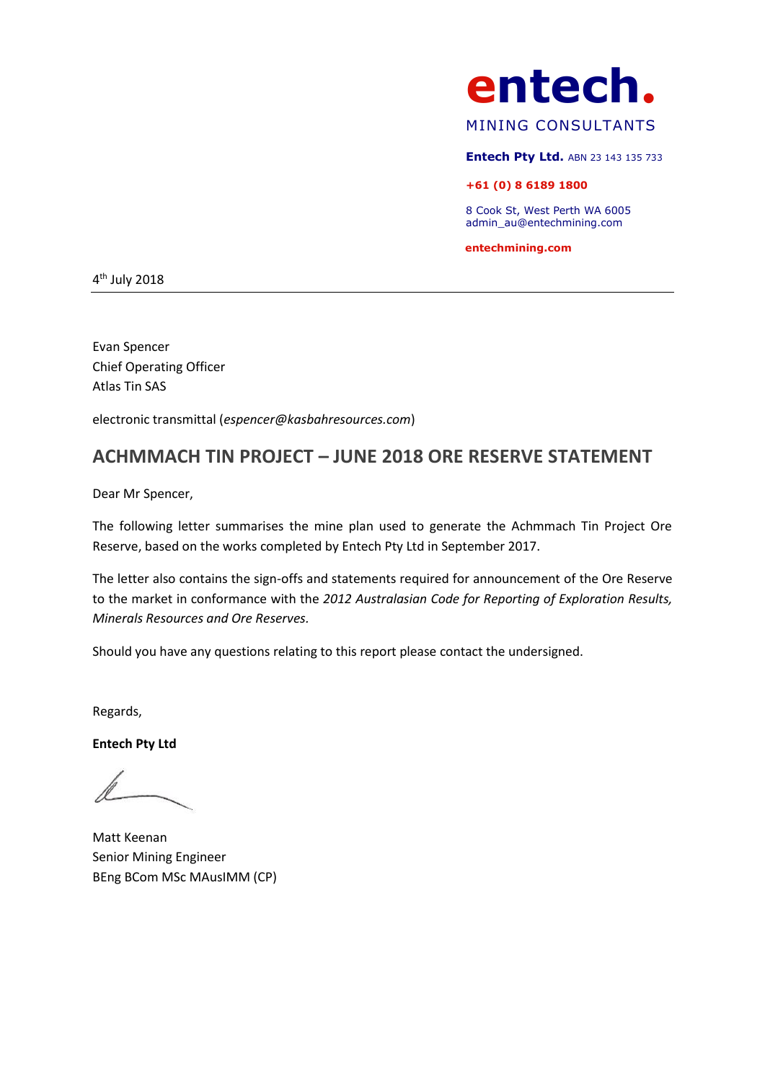

# MINING CONSULTANTS

**Entech Pty Ltd.** ABN 23 143 135 733

## **+61 (0) 8 6189 1800**

8 Cook St, West Perth WA 6005 admin\_au@entechmining.com

 **entechmining.com**

4<sup>th</sup> July 2018

Evan Spencer Chief Operating Officer Atlas Tin SAS

electronic transmittal (*espencer@kasbahresources.com*)

# **ACHMMACH TIN PROJECT – JUNE 2018 ORE RESERVE STATEMENT**

Dear Mr Spencer,

The following letter summarises the mine plan used to generate the Achmmach Tin Project Ore Reserve, based on the works completed by Entech Pty Ltd in September 2017.

The letter also contains the sign-offs and statements required for announcement of the Ore Reserve to the market in conformance with the *2012 Australasian Code for Reporting of Exploration Results, Minerals Resources and Ore Reserves.*

Should you have any questions relating to this report please contact the undersigned.

Regards,

**Entech Pty Ltd**

Matt Keenan Senior Mining Engineer BEng BCom MSc MAusIMM (CP)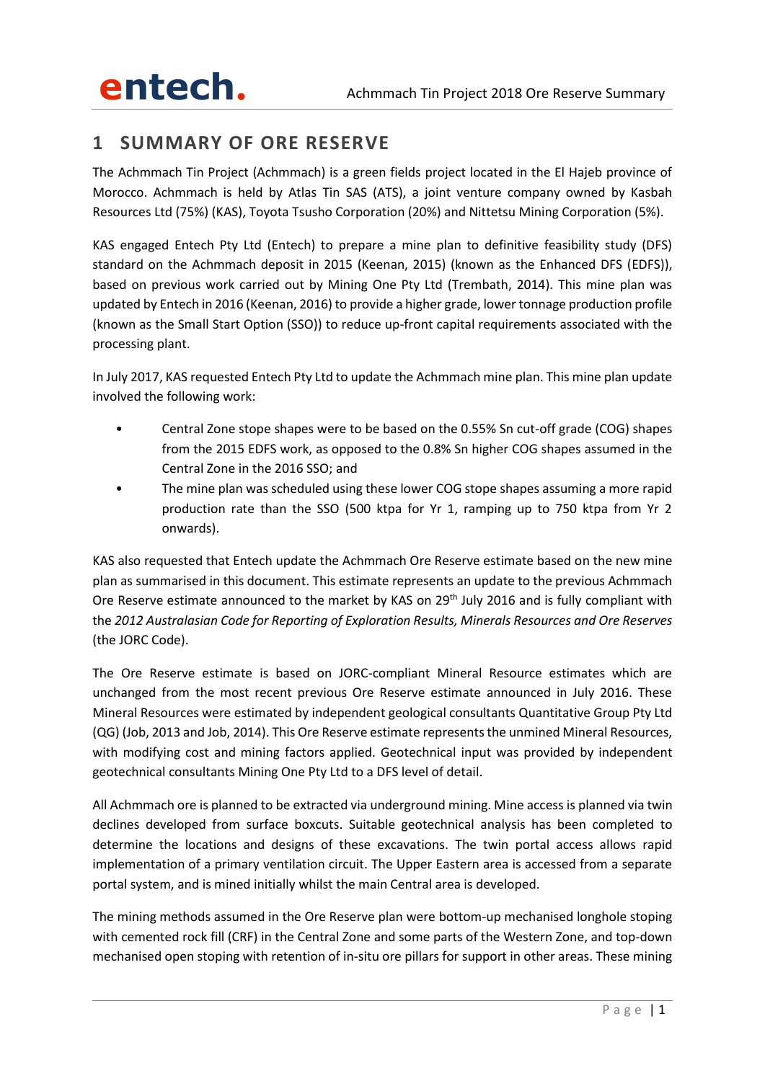# **1 SUMMARY OF ORE RESERVE**

The Achmmach Tin Project (Achmmach) is a green fields project located in the El Hajeb province of Morocco. Achmmach is held by Atlas Tin SAS (ATS), a joint venture company owned by Kasbah Resources Ltd (75%) (KAS), Toyota Tsusho Corporation (20%) and Nittetsu Mining Corporation (5%).

KAS engaged Entech Pty Ltd (Entech) to prepare a mine plan to definitive feasibility study (DFS) standard on the Achmmach deposit in 2015 (Keenan, 2015) (known as the Enhanced DFS (EDFS)), based on previous work carried out by Mining One Pty Ltd (Trembath, 2014). This mine plan was updated by Entech in 2016 (Keenan, 2016) to provide a higher grade, lower tonnage production profile (known as the Small Start Option (SSO)) to reduce up-front capital requirements associated with the processing plant.

In July 2017, KAS requested Entech Pty Ltd to update the Achmmach mine plan. This mine plan update involved the following work:

- Central Zone stope shapes were to be based on the 0.55% Sn cut-off grade (COG) shapes from the 2015 EDFS work, as opposed to the 0.8% Sn higher COG shapes assumed in the Central Zone in the 2016 SSO; and
- The mine plan was scheduled using these lower COG stope shapes assuming a more rapid production rate than the SSO (500 ktpa for Yr 1, ramping up to 750 ktpa from Yr 2 onwards).

KAS also requested that Entech update the Achmmach Ore Reserve estimate based on the new mine plan as summarised in this document. This estimate represents an update to the previous Achmmach Ore Reserve estimate announced to the market by KAS on 29<sup>th</sup> July 2016 and is fully compliant with the *2012 Australasian Code for Reporting of Exploration Results, Minerals Resources and Ore Reserves* (the JORC Code).

The Ore Reserve estimate is based on JORC-compliant Mineral Resource estimates which are unchanged from the most recent previous Ore Reserve estimate announced in July 2016. These Mineral Resources were estimated by independent geological consultants Quantitative Group Pty Ltd (QG) (Job, 2013 and Job, 2014). This Ore Reserve estimate represents the unmined Mineral Resources, with modifying cost and mining factors applied. Geotechnical input was provided by independent geotechnical consultants Mining One Pty Ltd to a DFS level of detail.

All Achmmach ore is planned to be extracted via underground mining. Mine access is planned via twin declines developed from surface boxcuts. Suitable geotechnical analysis has been completed to determine the locations and designs of these excavations. The twin portal access allows rapid implementation of a primary ventilation circuit. The Upper Eastern area is accessed from a separate portal system, and is mined initially whilst the main Central area is developed.

The mining methods assumed in the Ore Reserve plan were bottom-up mechanised longhole stoping with cemented rock fill (CRF) in the Central Zone and some parts of the Western Zone, and top-down mechanised open stoping with retention of in-situ ore pillars for support in other areas. These mining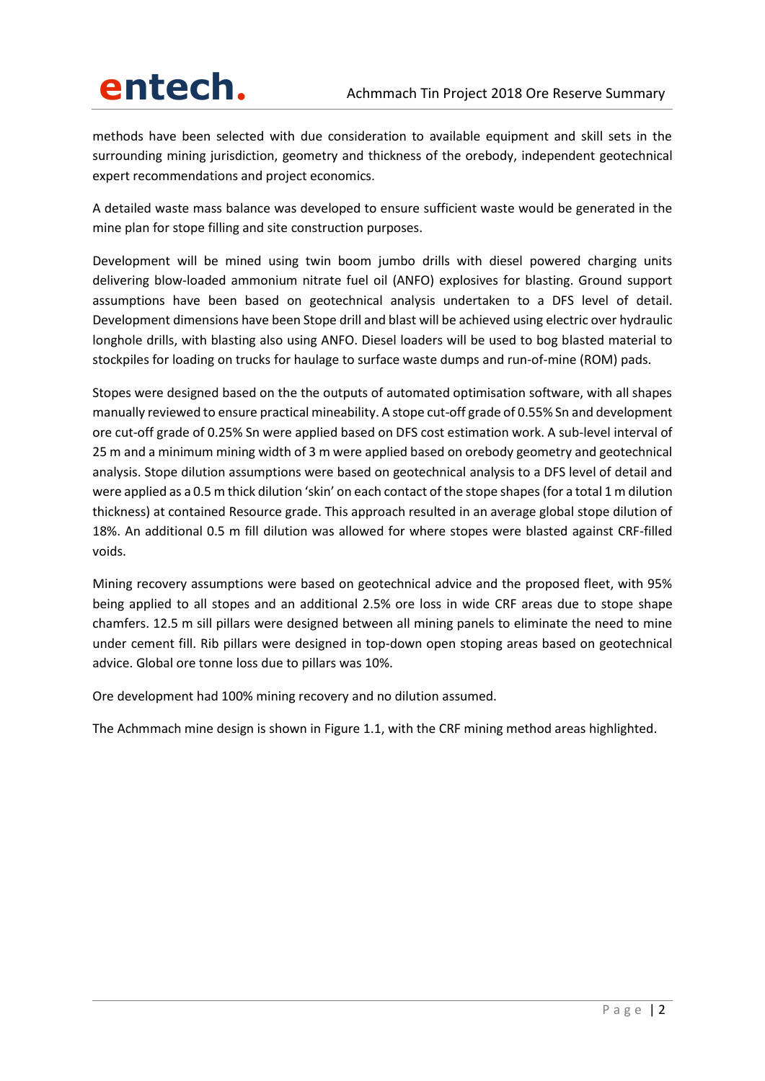methods have been selected with due consideration to available equipment and skill sets in the surrounding mining jurisdiction, geometry and thickness of the orebody, independent geotechnical expert recommendations and project economics.

A detailed waste mass balance was developed to ensure sufficient waste would be generated in the mine plan for stope filling and site construction purposes.

Development will be mined using twin boom jumbo drills with diesel powered charging units delivering blow-loaded ammonium nitrate fuel oil (ANFO) explosives for blasting. Ground support assumptions have been based on geotechnical analysis undertaken to a DFS level of detail. Development dimensions have been Stope drill and blast will be achieved using electric over hydraulic longhole drills, with blasting also using ANFO. Diesel loaders will be used to bog blasted material to stockpiles for loading on trucks for haulage to surface waste dumps and run-of-mine (ROM) pads.

Stopes were designed based on the the outputs of automated optimisation software, with all shapes manually reviewed to ensure practical mineability. A stope cut-off grade of 0.55% Sn and development ore cut-off grade of 0.25% Sn were applied based on DFS cost estimation work. A sub-level interval of 25 m and a minimum mining width of 3 m were applied based on orebody geometry and geotechnical analysis. Stope dilution assumptions were based on geotechnical analysis to a DFS level of detail and were applied as a 0.5 m thick dilution 'skin' on each contact of the stope shapes (for a total 1 m dilution thickness) at contained Resource grade. This approach resulted in an average global stope dilution of 18%. An additional 0.5 m fill dilution was allowed for where stopes were blasted against CRF-filled voids.

Mining recovery assumptions were based on geotechnical advice and the proposed fleet, with 95% being applied to all stopes and an additional 2.5% ore loss in wide CRF areas due to stope shape chamfers. 12.5 m sill pillars were designed between all mining panels to eliminate the need to mine under cement fill. Rib pillars were designed in top-down open stoping areas based on geotechnical advice. Global ore tonne loss due to pillars was 10%.

Ore development had 100% mining recovery and no dilution assumed.

The Achmmach mine design is shown in [Figure 1.1,](#page-12-0) with the CRF mining method areas highlighted.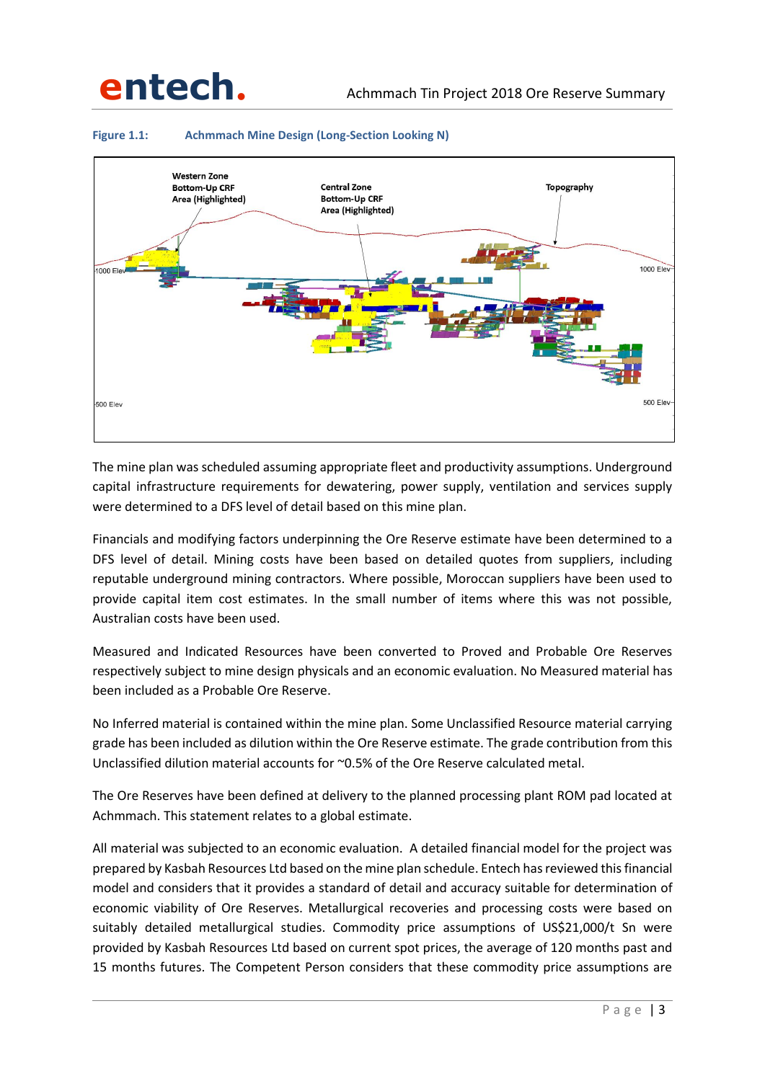

## <span id="page-12-0"></span>**Figure 1.1: Achmmach Mine Design (Long-Section Looking N)**

The mine plan was scheduled assuming appropriate fleet and productivity assumptions. Underground capital infrastructure requirements for dewatering, power supply, ventilation and services supply were determined to a DFS level of detail based on this mine plan.

Financials and modifying factors underpinning the Ore Reserve estimate have been determined to a DFS level of detail. Mining costs have been based on detailed quotes from suppliers, including reputable underground mining contractors. Where possible, Moroccan suppliers have been used to provide capital item cost estimates. In the small number of items where this was not possible, Australian costs have been used.

Measured and Indicated Resources have been converted to Proved and Probable Ore Reserves respectively subject to mine design physicals and an economic evaluation. No Measured material has been included as a Probable Ore Reserve.

No Inferred material is contained within the mine plan. Some Unclassified Resource material carrying grade has been included as dilution within the Ore Reserve estimate. The grade contribution from this Unclassified dilution material accounts for ~0.5% of the Ore Reserve calculated metal.

The Ore Reserves have been defined at delivery to the planned processing plant ROM pad located at Achmmach. This statement relates to a global estimate.

All material was subjected to an economic evaluation. A detailed financial model for the project was prepared by Kasbah Resources Ltd based on the mine plan schedule. Entech has reviewed this financial model and considers that it provides a standard of detail and accuracy suitable for determination of economic viability of Ore Reserves. Metallurgical recoveries and processing costs were based on suitably detailed metallurgical studies. Commodity price assumptions of US\$21,000/t Sn were provided by Kasbah Resources Ltd based on current spot prices, the average of 120 months past and 15 months futures. The Competent Person considers that these commodity price assumptions are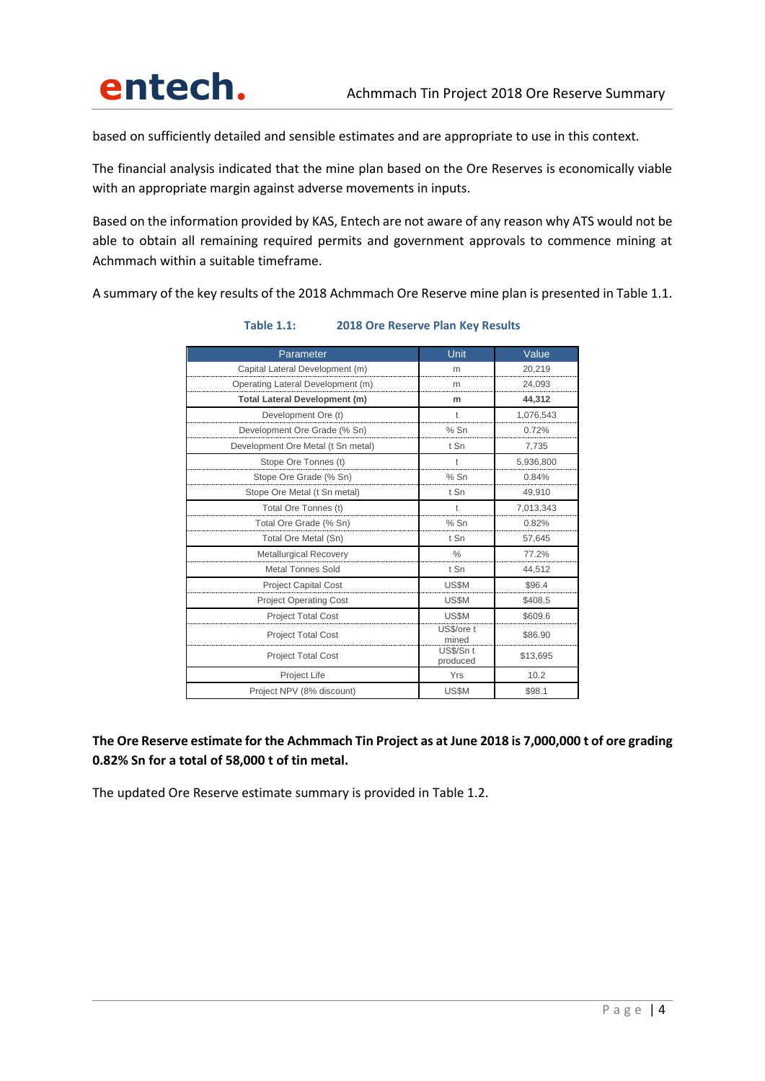based on sufficiently detailed and sensible estimates and are appropriate to use in this context.

The financial analysis indicated that the mine plan based on the Ore Reserves is economically viable with an appropriate margin against adverse movements in inputs.

Based on the information provided by KAS, Entech are not aware of any reason why ATS would not be able to obtain all remaining required permits and government approvals to commence mining at Achmmach within a suitable timeframe.

<span id="page-13-0"></span>A summary of the key results of the 2018 Achmmach Ore Reserve mine plan is presented in [Table 1.1.](#page-13-0)

| Parameter                            | Unit                  | Value     |
|--------------------------------------|-----------------------|-----------|
| Capital Lateral Development (m)      | m                     | 20,219    |
| Operating Lateral Development (m)    | m                     | 24,093    |
| <b>Total Lateral Development (m)</b> | m                     | 44,312    |
| Development Ore (t)                  | t                     | 1,076,543 |
| Development Ore Grade (% Sn)         | $%$ Sn                | 0.72%     |
| Development Ore Metal (t Sn metal)   | t Sn                  | 7,735     |
| Stope Ore Tonnes (t)                 |                       | 5,936,800 |
| Stope Ore Grade (% Sn)               | $%$ Sn                | 0.84%     |
| Stope Ore Metal (t Sn metal)         | t Sn                  | 49,910    |
| Total Ore Tonnes (t)                 |                       | 7,013,343 |
| Total Ore Grade (% Sn)               | $%$ Sn                | 0.82%     |
| Total Ore Metal (Sn)                 | t Sn                  | 57,645    |
| <b>Metallurgical Recovery</b>        | $\frac{0}{0}$         | 77.2%     |
| <b>Metal Tonnes Sold</b>             | t Sn                  | 44,512    |
| <b>Project Capital Cost</b>          | US\$M                 | \$96.4    |
| <b>Project Operating Cost</b>        | US\$M                 | \$408.5   |
| <b>Project Total Cost</b>            | US\$M                 | \$609.6   |
| <b>Project Total Cost</b>            | US\$/ore t<br>mined   | \$86.90   |
| <b>Project Total Cost</b>            | US\$/Sn t<br>produced | \$13,695  |
| Project Life                         | Yrs                   | 10.2      |
| Project NPV (8% discount)            | US\$M                 | \$98.1    |

## **Table 1.1: 2018 Ore Reserve Plan Key Results**

**The Ore Reserve estimate for the Achmmach Tin Project as at June 2018 is 7,000,000 t of ore grading 0.82% Sn for a total of 58,000 t of tin metal.**

The updated Ore Reserve estimate summary is provided i[n Table 1.2.](#page-14-0)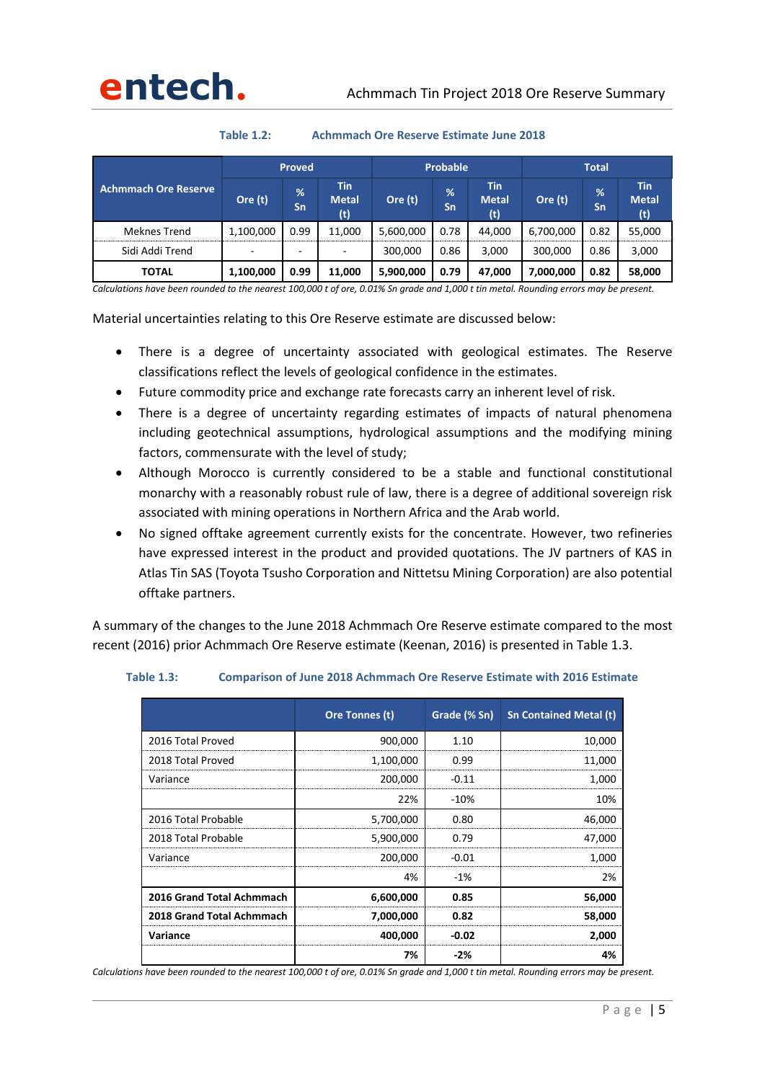

**Table 1.2: Achmmach Ore Reserve Estimate June 2018**

<span id="page-14-0"></span>

|                             | <b>Proved</b>            |         | Probable                   |           |         | <b>Total</b>                      |           |         |                                   |
|-----------------------------|--------------------------|---------|----------------------------|-----------|---------|-----------------------------------|-----------|---------|-----------------------------------|
| <b>Achmmach Ore Reserve</b> | Ore (t)                  | %<br>Sn | Tin<br><b>Metal</b><br>(t) | Ore (t)   | %<br>Sn | <b>Tin</b><br><b>Metal</b><br>(t) | Ore (t)   | %<br>Sn | <b>Tin</b><br><b>Metal</b><br>(t) |
| Meknes Trend                | 1,100,000                | 0.99    | 11.000                     | 5,600,000 | 0.78    | 44.000                            | 6,700,000 | 0.82    | 55,000                            |
| Sidi Addi Trend             | $\overline{\phantom{a}}$ | -       | $\overline{\phantom{a}}$   | 300,000   | 0.86    | 3.000                             | 300,000   | 0.86    | 3,000                             |
| TOTAL                       | 1,100,000                | 0.99    | 11,000                     | 5,900,000 | 0.79    | 47,000                            | 7,000,000 | 0.82    | 58,000                            |

*Calculations have been rounded to the nearest 100,000 t of ore, 0.01% Sn grade and 1,000 t tin metal. Rounding errors may be present.*

Material uncertainties relating to this Ore Reserve estimate are discussed below:

- There is a degree of uncertainty associated with geological estimates. The Reserve classifications reflect the levels of geological confidence in the estimates.
- Future commodity price and exchange rate forecasts carry an inherent level of risk.
- There is a degree of uncertainty regarding estimates of impacts of natural phenomena including geotechnical assumptions, hydrological assumptions and the modifying mining factors, commensurate with the level of study;
- Although Morocco is currently considered to be a stable and functional constitutional monarchy with a reasonably robust rule of law, there is a degree of additional sovereign risk associated with mining operations in Northern Africa and the Arab world.
- No signed offtake agreement currently exists for the concentrate. However, two refineries have expressed interest in the product and provided quotations. The JV partners of KAS in Atlas Tin SAS (Toyota Tsusho Corporation and Nittetsu Mining Corporation) are also potential offtake partners.

A summary of the changes to the June 2018 Achmmach Ore Reserve estimate compared to the most recent (2016) prior Achmmach Ore Reserve estimate (Keenan, 2016) is presented in [Table 1.3.](#page-14-1)

|                           | Ore Tonnes (t) | Grade (% Sn) | <b>Sn Contained Metal (t)</b> |
|---------------------------|----------------|--------------|-------------------------------|
| 2016 Total Proved         | 900,000        | 1.10         | 10,000                        |
| 2018 Total Proved         | 1,100,000      | 0.99         | 11,000                        |
| Variance                  | 200,000        | $-0.11$      | 1,000                         |
|                           | 22%            | $-10%$       | 10%                           |
| 2016 Total Probable       | 5,700,000      | 0.80         | 46,000                        |
| 2018 Total Probable       | 5,900,000      | 0.79         | 47,000                        |
| Variance                  | 200,000        | $-0.01$      | 1,000                         |
|                           | 4%             | $-1%$        | 2%                            |
| 2016 Grand Total Achmmach | 6,600,000      | 0.85         | 56,000                        |
| 2018 Grand Total Achmmach | 7,000,000      | 0.82         | 58,000                        |
| Variance                  | 400,000        | $-0.02$      | 2.000                         |
|                           | 7%             | $-2%$        | 4%                            |

### <span id="page-14-1"></span>**Table 1.3: Comparison of June 2018 Achmmach Ore Reserve Estimate with 2016 Estimate**

*Calculations have been rounded to the nearest 100,000 t of ore, 0.01% Sn grade and 1,000 t tin metal. Rounding errors may be present.*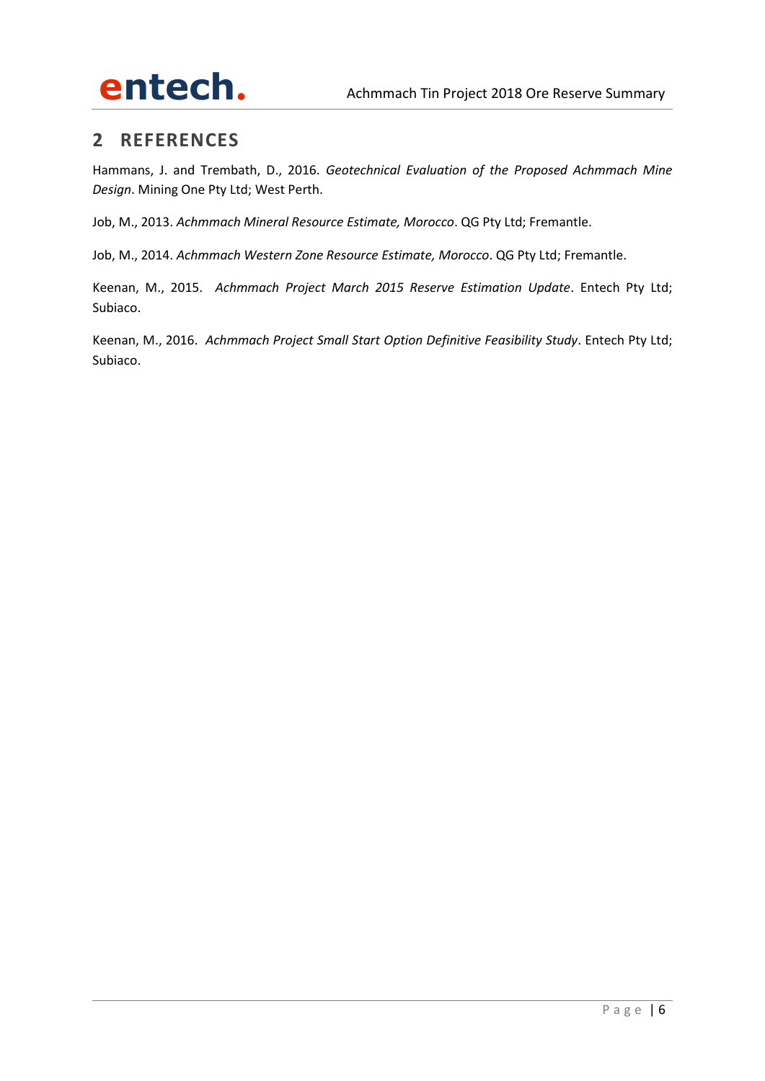

# **2 REFERENCES**

Hammans, J. and Trembath, D., 2016. *Geotechnical Evaluation of the Proposed Achmmach Mine Design*. Mining One Pty Ltd; West Perth.

Job, M., 2013. *Achmmach Mineral Resource Estimate, Morocco*. QG Pty Ltd; Fremantle.

Job, M., 2014. *Achmmach Western Zone Resource Estimate, Morocco*. QG Pty Ltd; Fremantle.

Keenan, M., 2015. *Achmmach Project March 2015 Reserve Estimation Update*. Entech Pty Ltd; Subiaco.

Keenan, M., 2016. *Achmmach Project Small Start Option Definitive Feasibility Study*. Entech Pty Ltd; Subiaco.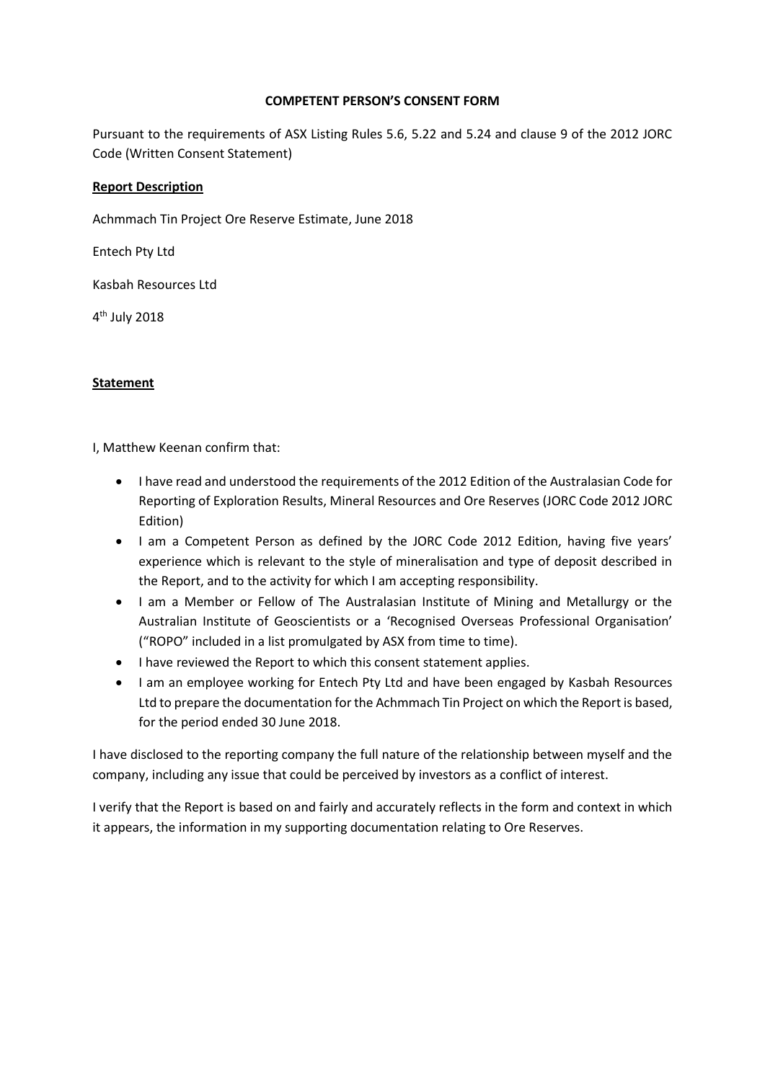## **COMPETENT PERSON'S CONSENT FORM**

Pursuant to the requirements of ASX Listing Rules 5.6, 5.22 and 5.24 and clause 9 of the 2012 JORC Code (Written Consent Statement)

## **Report Description**

Achmmach Tin Project Ore Reserve Estimate, June 2018

Entech Pty Ltd

Kasbah Resources Ltd

4 th July 2018

# **Statement**

I, Matthew Keenan confirm that:

- I have read and understood the requirements of the 2012 Edition of the Australasian Code for Reporting of Exploration Results, Mineral Resources and Ore Reserves (JORC Code 2012 JORC Edition)
- I am a Competent Person as defined by the JORC Code 2012 Edition, having five years' experience which is relevant to the style of mineralisation and type of deposit described in the Report, and to the activity for which I am accepting responsibility.
- I am a Member or Fellow of The Australasian Institute of Mining and Metallurgy or the Australian Institute of Geoscientists or a 'Recognised Overseas Professional Organisation' ("ROPO" included in a list promulgated by ASX from time to time).
- I have reviewed the Report to which this consent statement applies.
- I am an employee working for Entech Pty Ltd and have been engaged by Kasbah Resources Ltd to prepare the documentation for the Achmmach Tin Project on which the Report is based, for the period ended 30 June 2018.

I have disclosed to the reporting company the full nature of the relationship between myself and the company, including any issue that could be perceived by investors as a conflict of interest.

I verify that the Report is based on and fairly and accurately reflects in the form and context in which it appears, the information in my supporting documentation relating to Ore Reserves.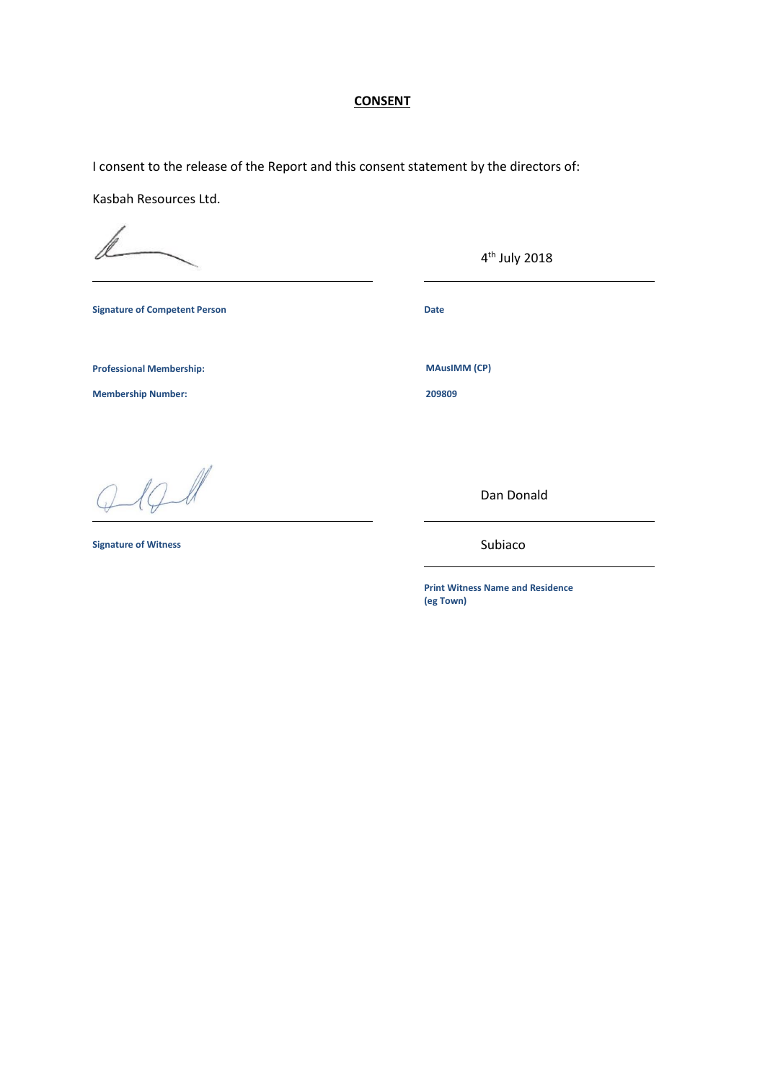## **CONSENT**

I consent to the release of the Report and this consent statement by the directors of:

Kasbah Resources Ltd.

**Signature of Competent Person Date** 

**Professional Membership:** MAusIMM (CP)

**Membership Number: 209809**

 $10$ 

**Signature of Witness**

Subiaco

Dan Donald

4 th July 2018

**Print Witness Name and Residence (eg Town)**